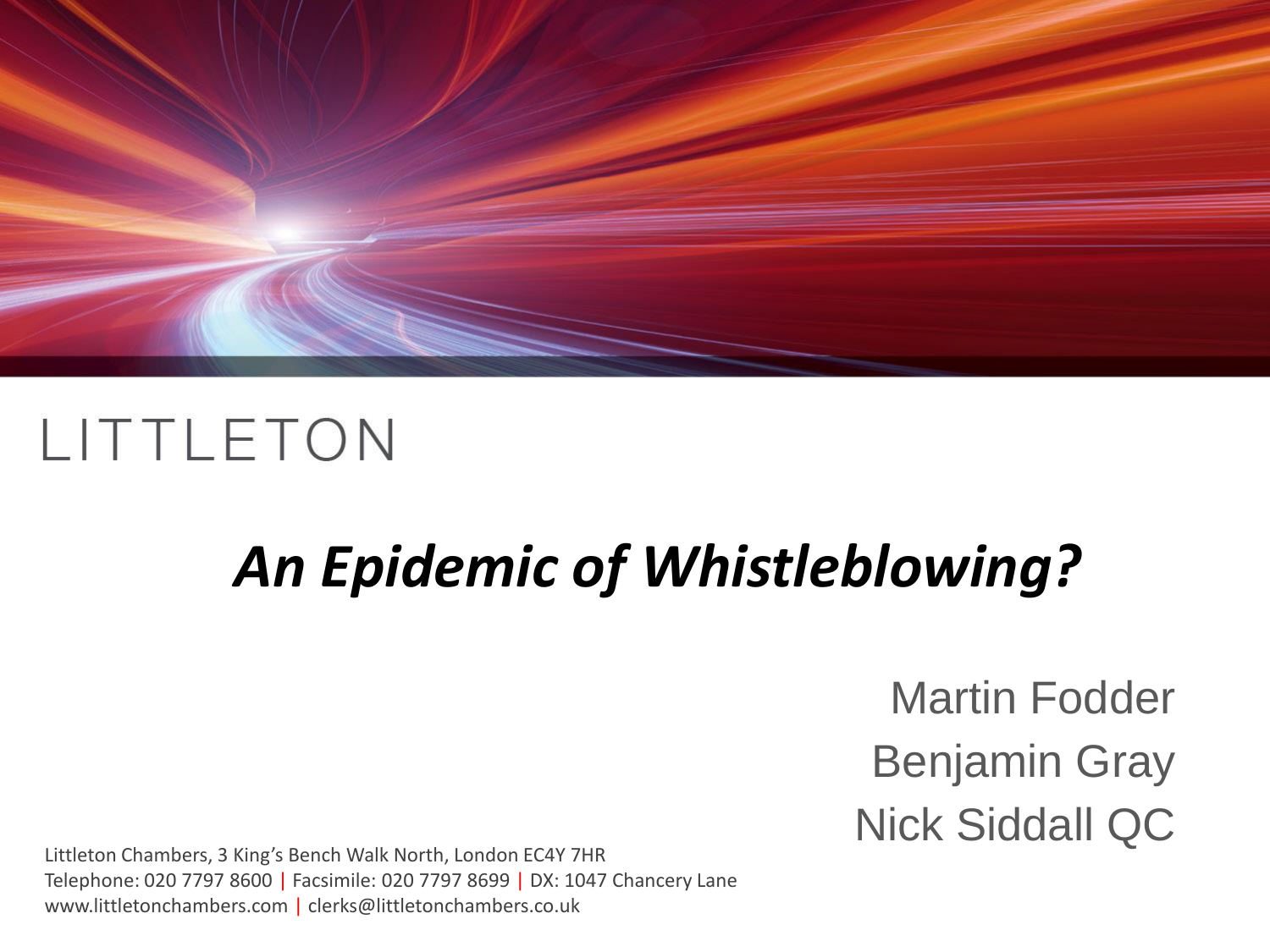

# *An Epidemic of Whistleblowing?*

Martin Fodder Benjamin Gray Nick Siddall QC

Littleton Chambers, 3 King's Bench Walk North, London EC4Y 7HR Telephone: 020 7797 8600 | Facsimile: 020 7797 8699 | DX: 1047 Chancery Lane www.littletonchambers.com | clerks@littletonchambers.co.uk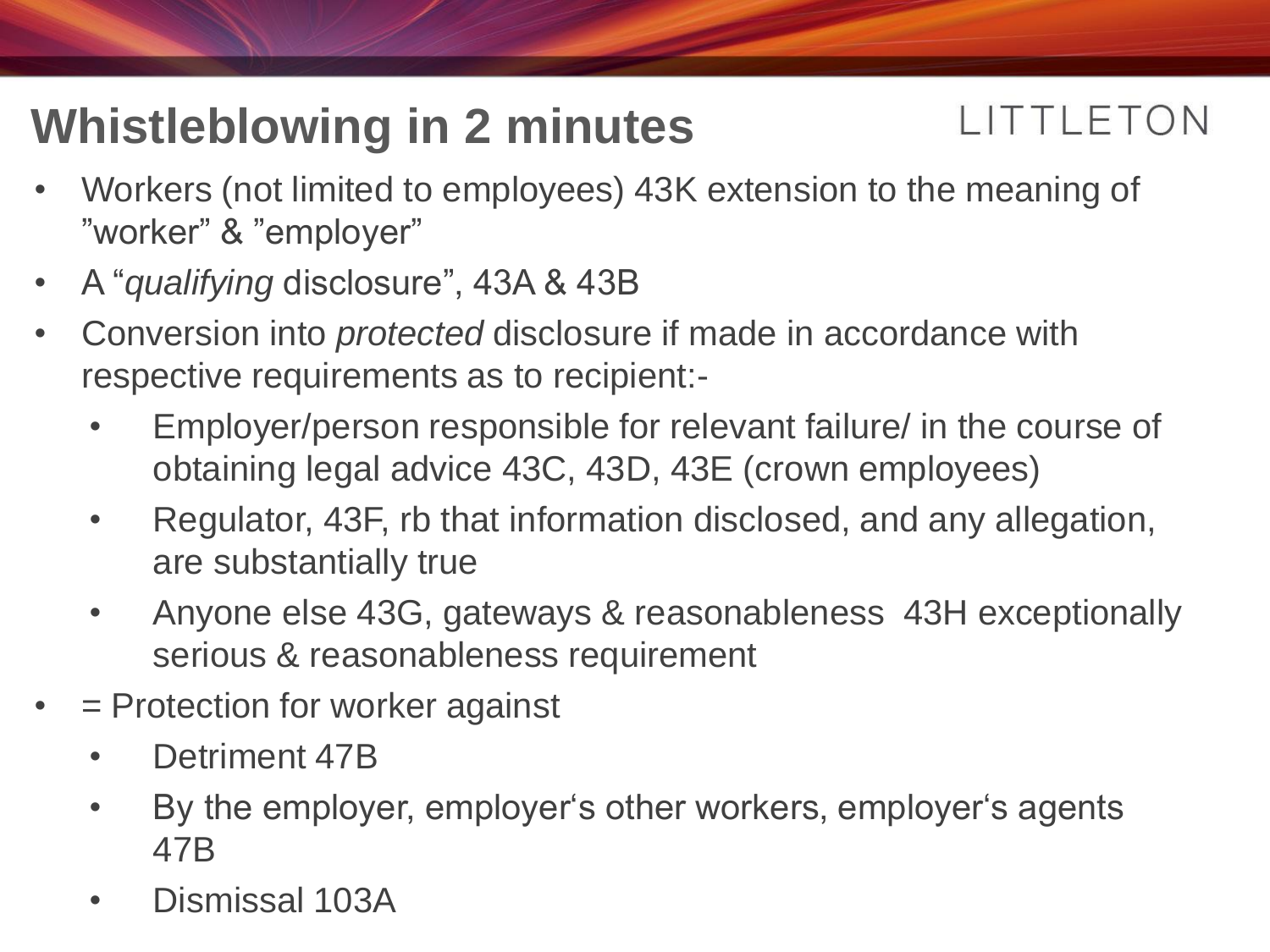### **Whistleblowing in 2 minutes**

#### LITTLETON

- Workers (not limited to employees) 43K extension to the meaning of "worker" & "employer"
- A "*qualifying* disclosure", 43A & 43B
- Conversion into *protected* disclosure if made in accordance with respective requirements as to recipient:-
	- Employer/person responsible for relevant failure/ in the course of obtaining legal advice 43C, 43D, 43E (crown employees)
	- Regulator, 43F, rb that information disclosed, and any allegation, are substantially true
	- Anyone else 43G, gateways & reasonableness 43H exceptionally serious & reasonableness requirement
- = Protection for worker against
	- Detriment 47B
	- By the employer, employer's other workers, employer's agents 47B
	- Dismissal 103A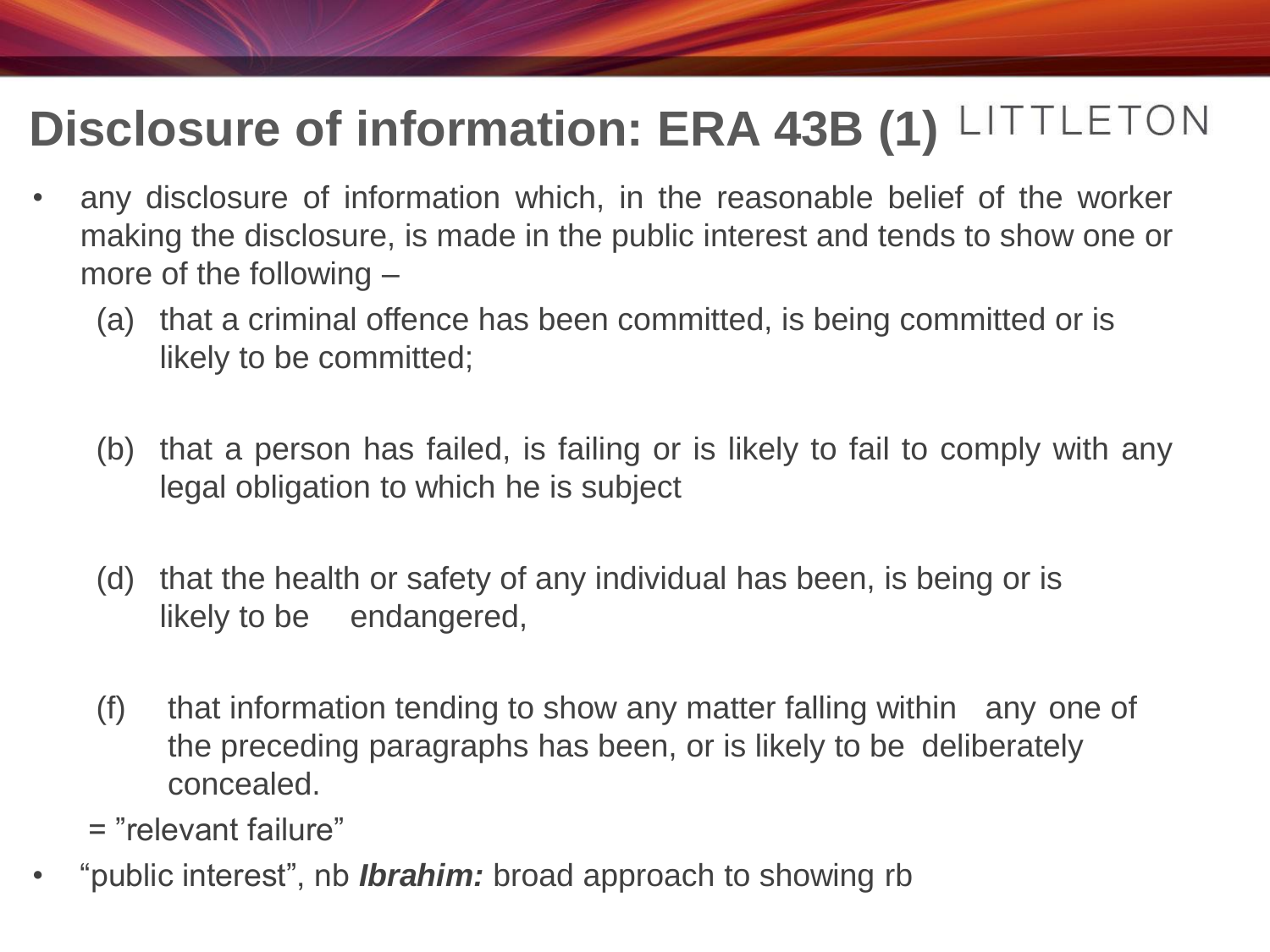### **Disclosure of information: ERA 43B (1)**

- any disclosure of information which, in the reasonable belief of the worker making the disclosure, is made in the public interest and tends to show one or more of the following –
	- (a) that a criminal offence has been committed, is being committed or is likely to be committed;
	- (b) that a person has failed, is failing or is likely to fail to comply with any legal obligation to which he is subject
	- (d) that the health or safety of any individual has been, is being or is likely to be endangered,
	- (f) that information tending to show any matter falling within any one of the preceding paragraphs has been, or is likely to be deliberately concealed.
	- = "relevant failure"
- "public interest", nb *Ibrahim:* broad approach to showing rb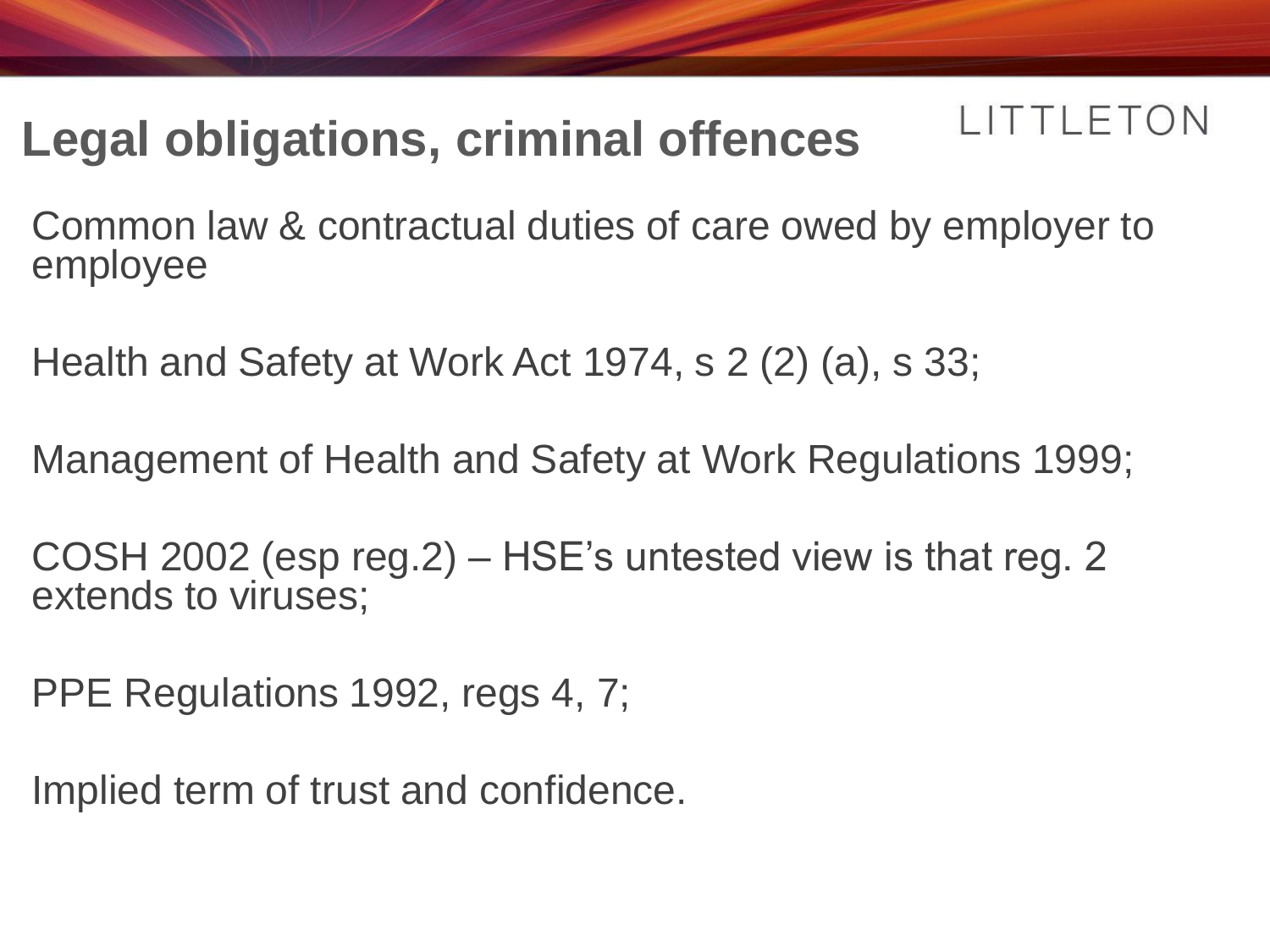#### LITTLETON **Legal obligations, criminal offences**

Common law & contractual duties of care owed by employer to employee

Health and Safety at Work Act 1974, s 2 (2) (a), s 33;

Management of Health and Safety at Work Regulations 1999;

COSH 2002 (esp reg.2) – HSE's untested view is that reg. 2 extends to viruses;

PPE Regulations 1992, regs 4, 7;

Implied term of trust and confidence.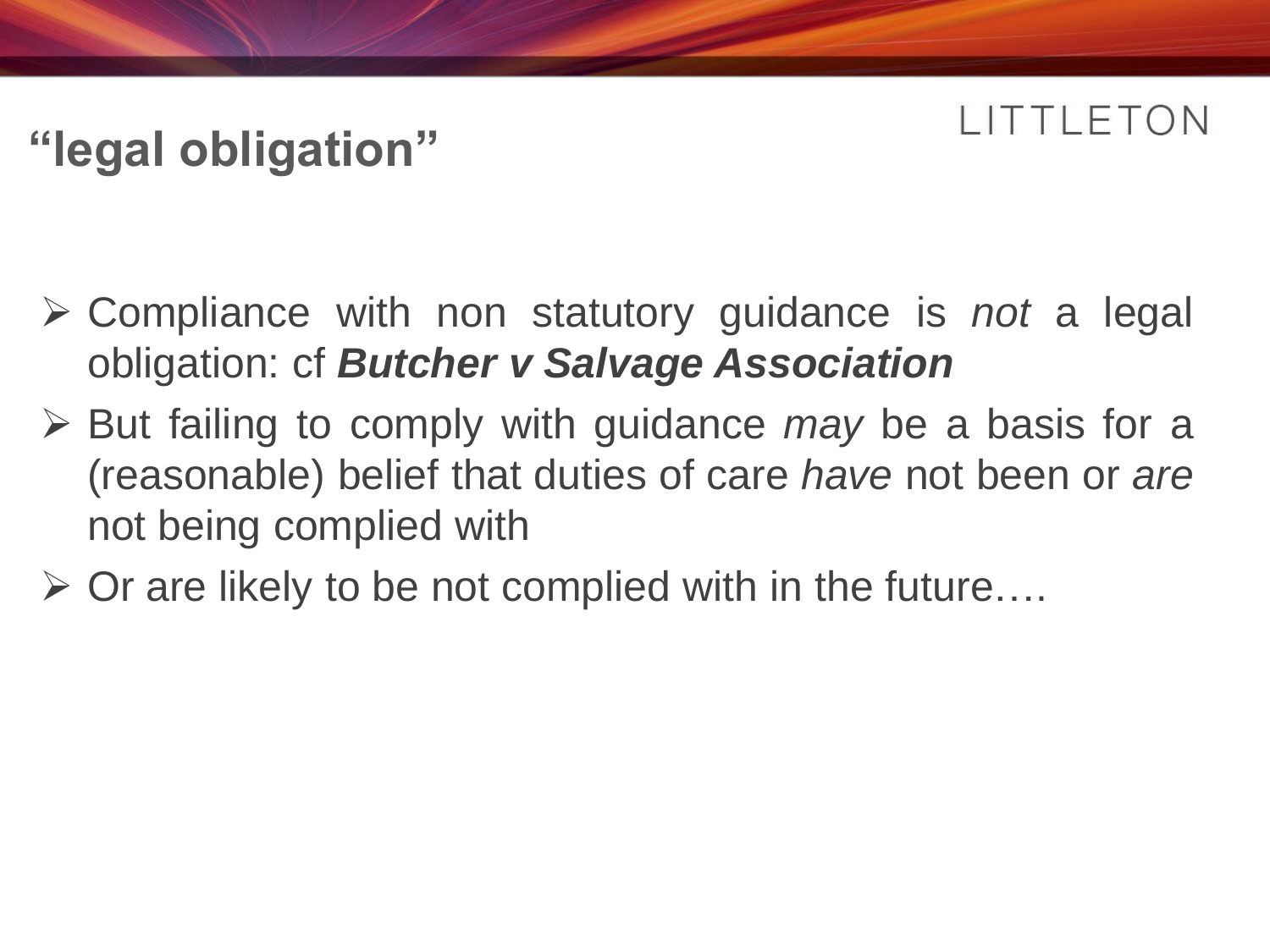### **"legal obligation"**

- Compliance with non statutory guidance is *not* a legal obligation: cf *Butcher v Salvage Association*
- But failing to comply with guidance *may* be a basis for a (reasonable) belief that duties of care *have* not been or *are* not being complied with
- $\triangleright$  Or are likely to be not complied with in the future....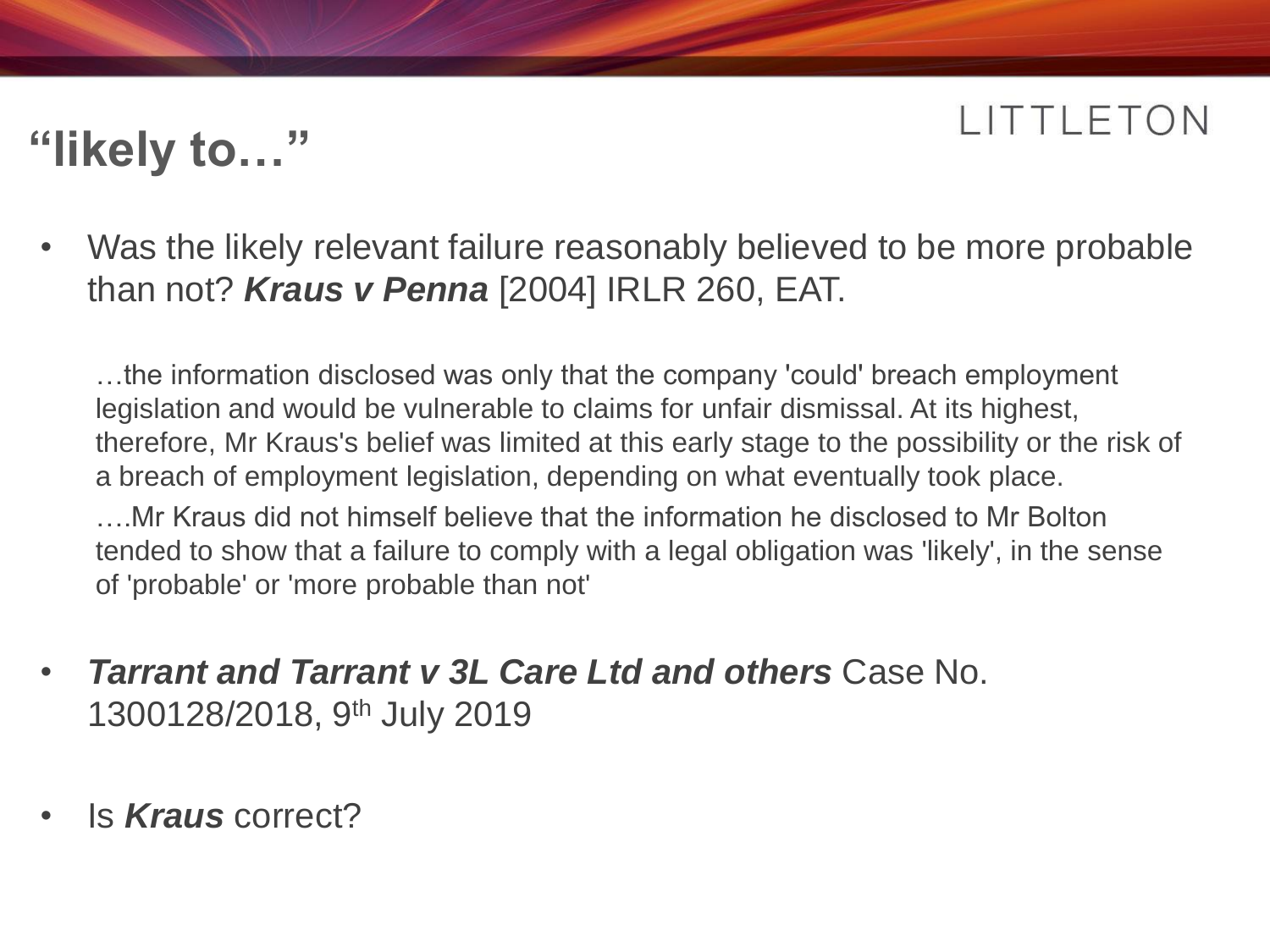### **"likely to…"**

• Was the likely relevant failure reasonably believed to be more probable than not? *Kraus v Penna* [2004] IRLR 260, EAT.

…the information disclosed was only that the company 'could' breach employment legislation and would be vulnerable to claims for unfair dismissal. At its highest, therefore, Mr Kraus's belief was limited at this early stage to the possibility or the risk of a breach of employment legislation, depending on what eventually took place.

….Mr Kraus did not himself believe that the information he disclosed to Mr Bolton tended to show that a failure to comply with a legal obligation was 'likely', in the sense of 'probable' or 'more probable than not'

- *Tarrant and Tarrant v 3L Care Ltd and others* Case No. 1300128/2018, 9th July 2019
- Is *Kraus* correct?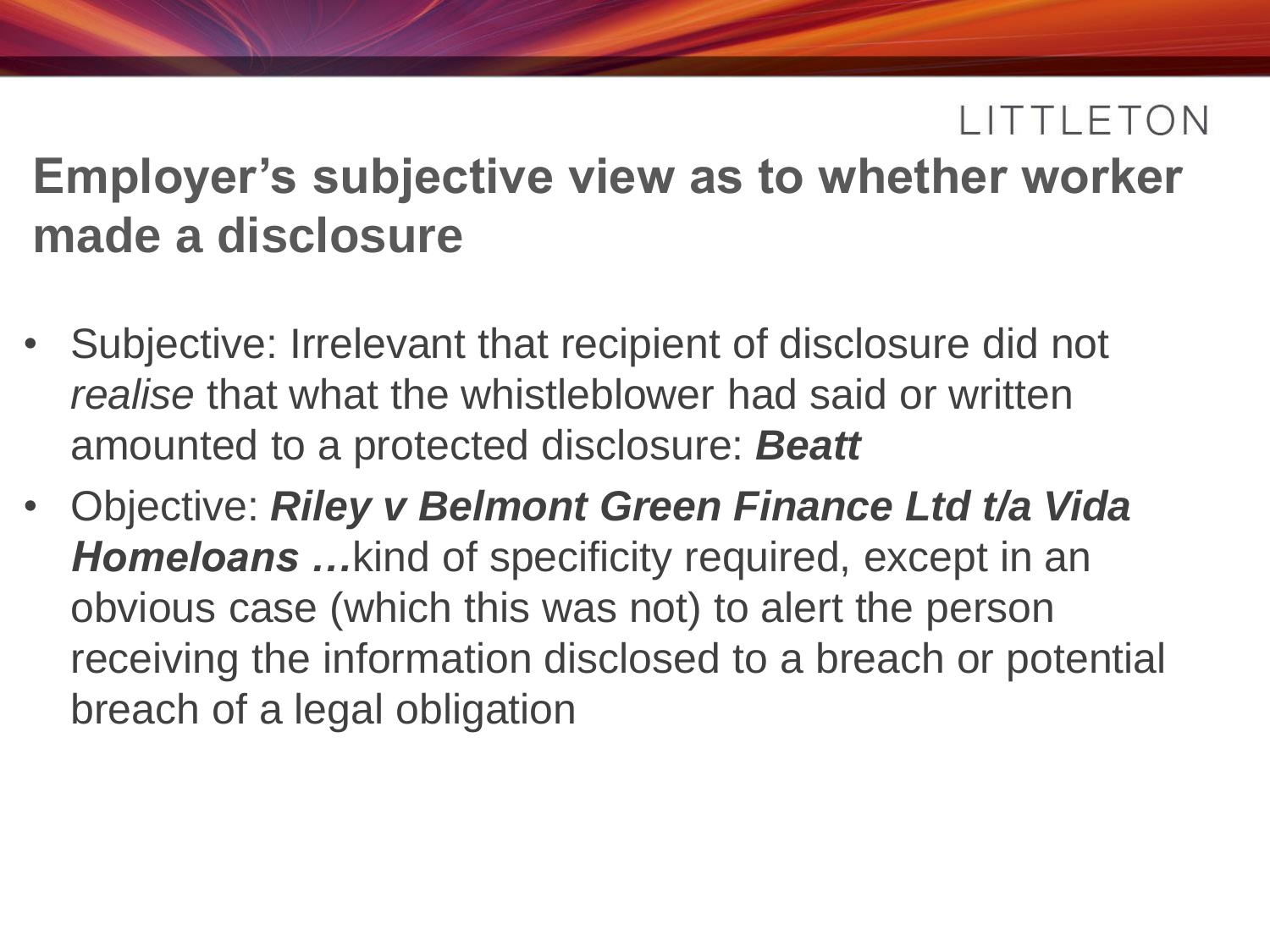### **Employer's subjective view as to whether worker made a disclosure**

- Subjective: Irrelevant that recipient of disclosure did not *realise* that what the whistleblower had said or written amounted to a protected disclosure: *Beatt*
- Objective: *Riley v Belmont Green Finance Ltd t/a Vida Homeloans …*kind of specificity required, except in an obvious case (which this was not) to alert the person receiving the information disclosed to a breach or potential breach of a legal obligation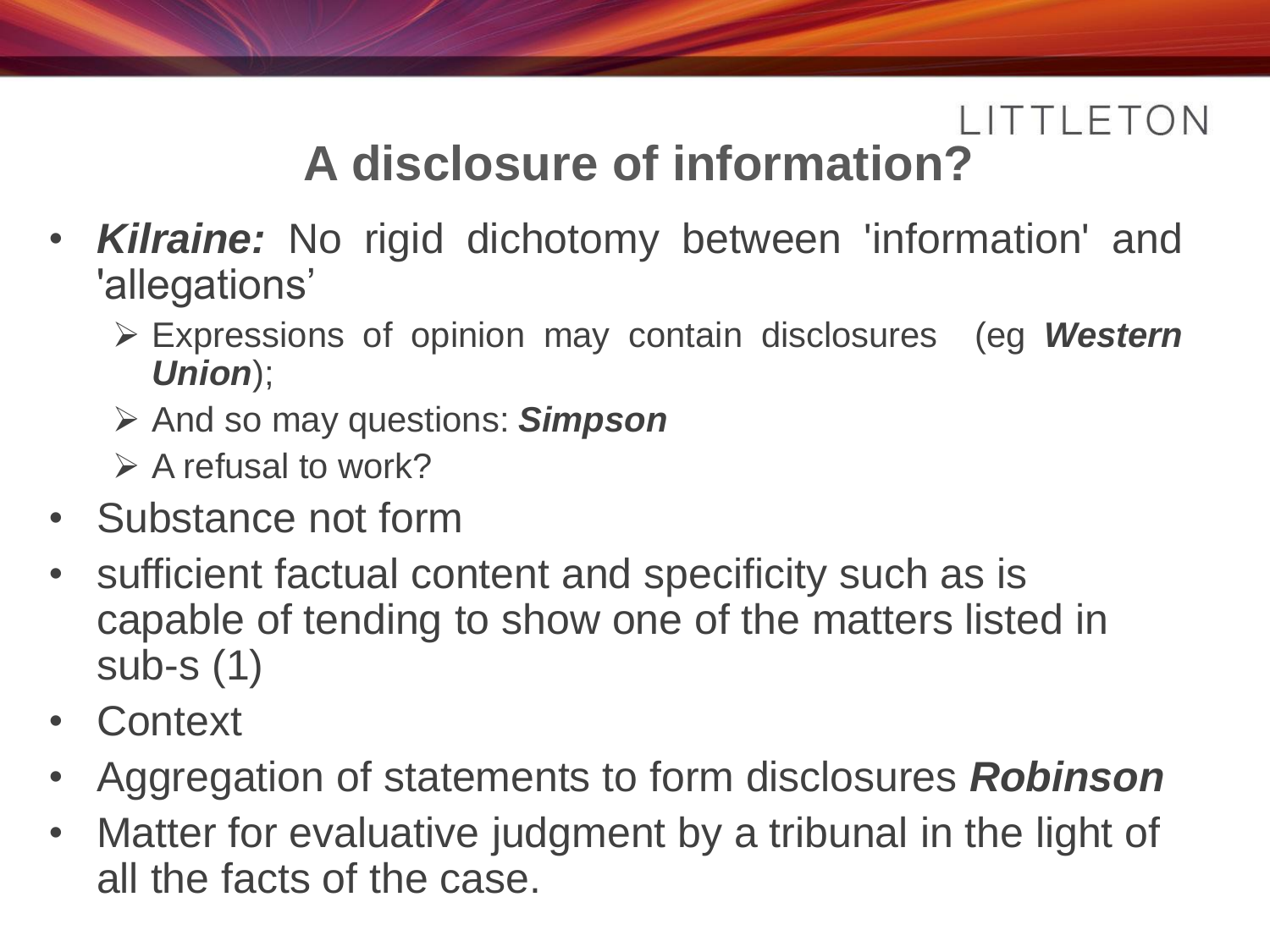### **A disclosure of information?**

- *Kilraine:* No rigid dichotomy between 'information' and 'allegations'
	- Expressions of opinion may contain disclosures (eg *Western Union*);
	- And so may questions: *Simpson*
	- $\triangleright$  A refusal to work?
- Substance not form
- sufficient factual content and specificity such as is capable of tending to show one of the matters listed in sub-s (1)
- Context
- Aggregation of statements to form disclosures *Robinson*
- Matter for evaluative judgment by a tribunal in the light of all the facts of the case.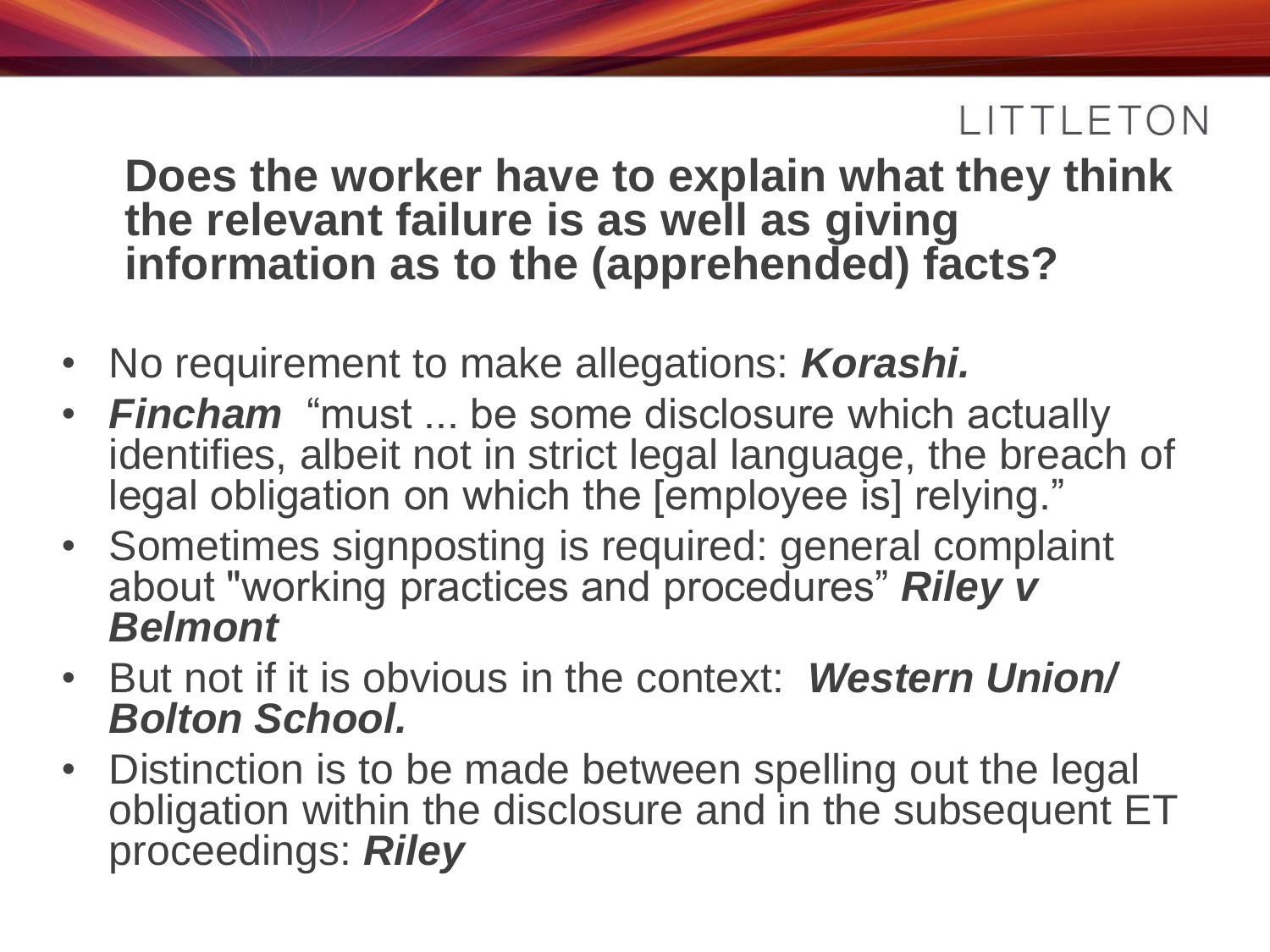#### **Does the worker have to explain what they think the relevant failure is as well as giving information as to the (apprehended) facts?**

- No requirement to make allegations: *Korashi.*
- *Fincham* "must ... be some disclosure which actually identifies, albeit not in strict legal language, the breach of legal obligation on which the [employee is] relying."
- Sometimes signposting is required: general complaint about "working practices and procedures" *Riley v Belmont*
- But not if it is obvious in the context: *Western Union/ Bolton School.*
- Distinction is to be made between spelling out the legal obligation within the disclosure and in the subsequent ET proceedings: *Riley*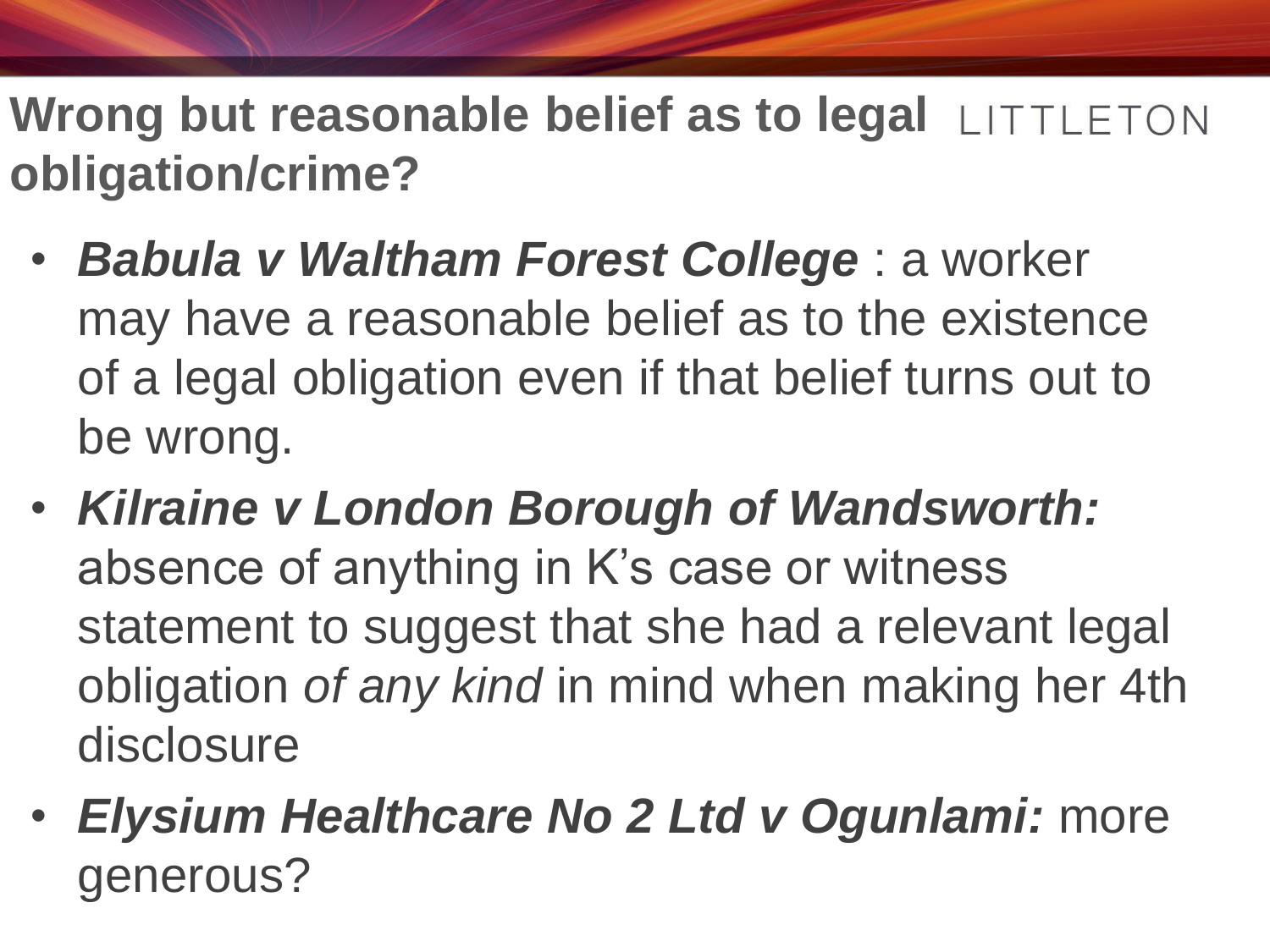**Wrong but reasonable belief as to legal LITTLETON obligation/crime?** 

- *Babula v Waltham Forest College* : a worker may have a reasonable belief as to the existence of a legal obligation even if that belief turns out to be wrong.
- *Kilraine v London Borough of Wandsworth:* absence of anything in K's case or witness statement to suggest that she had a relevant legal obligation *of any kind* in mind when making her 4th disclosure
- *Elysium Healthcare No 2 Ltd v Ogunlami:* more generous?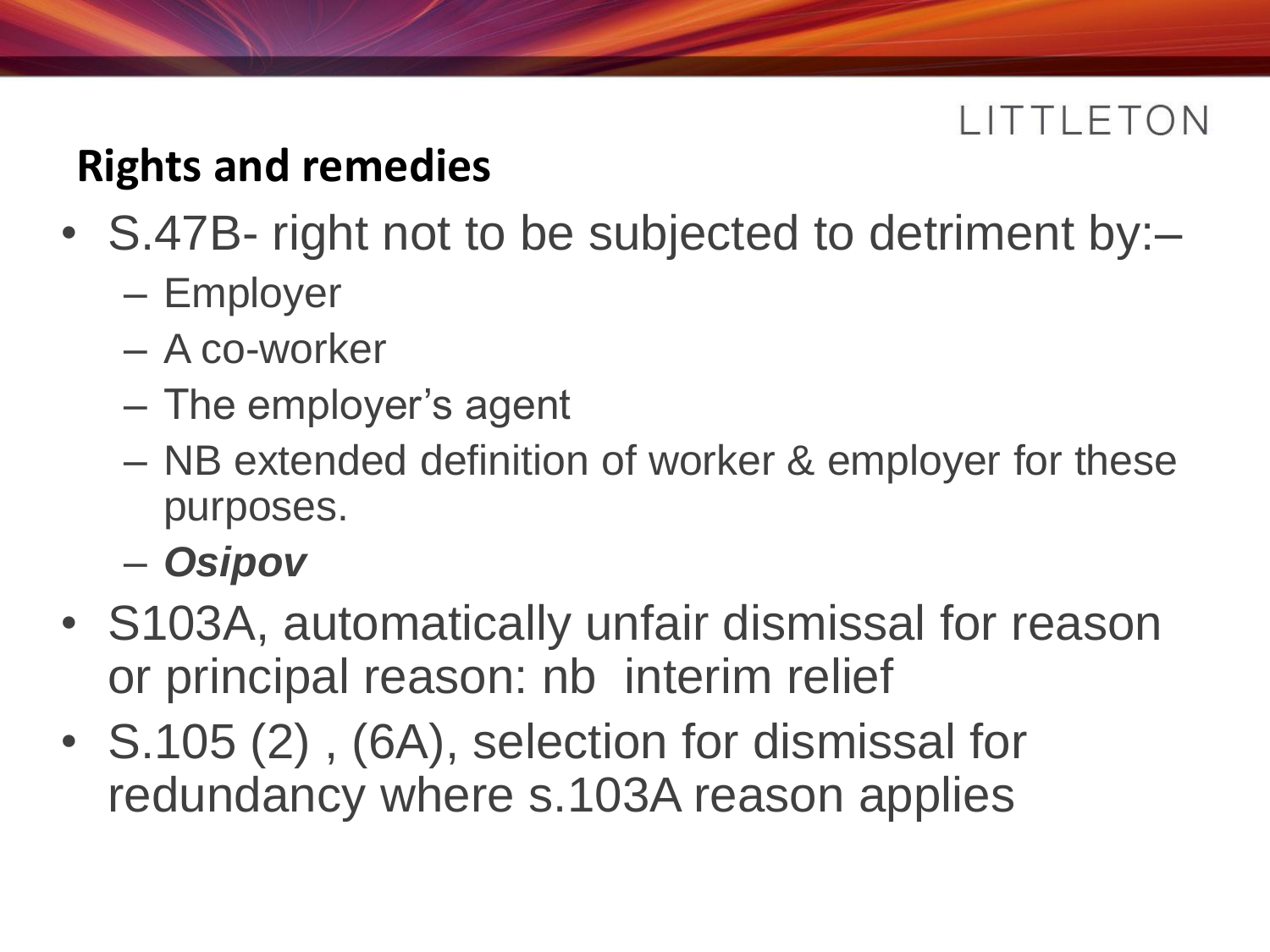#### **Rights and remedies**

- S.47B- right not to be subjected to detriment by:–
	- Employer
	- A co-worker
	- The employer's agent
	- NB extended definition of worker & employer for these purposes.
	- *Osipov*
- S103A, automatically unfair dismissal for reason or principal reason: nb interim relief
- S.105 (2), (6A), selection for dismissal for redundancy where s.103A reason applies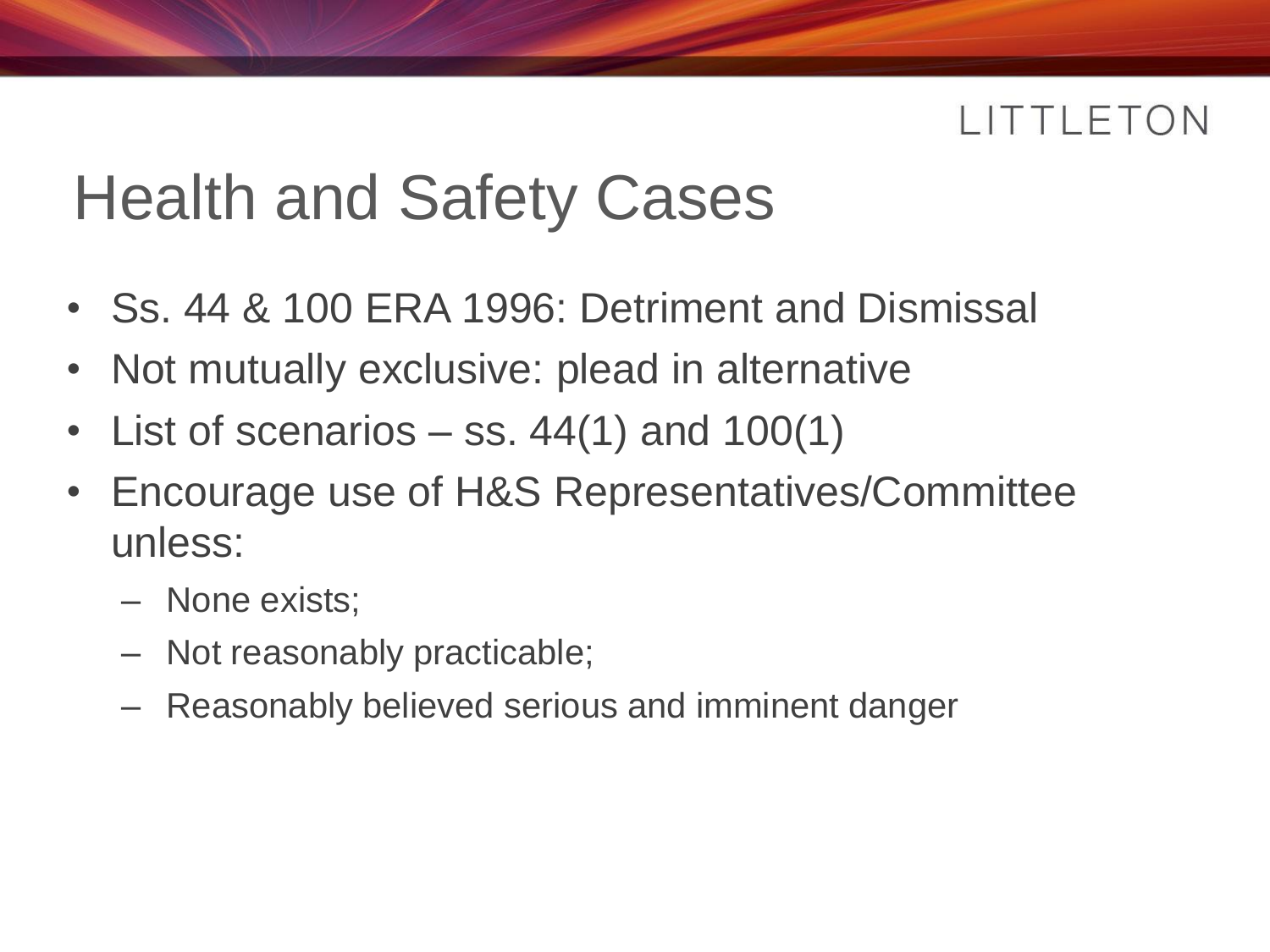# Health and Safety Cases

- Ss. 44 & 100 ERA 1996: Detriment and Dismissal
- Not mutually exclusive: plead in alternative
- List of scenarios  $-$  ss. 44(1) and 100(1)
- Encourage use of H&S Representatives/Committee unless:
	- None exists;
	- Not reasonably practicable;
	- Reasonably believed serious and imminent danger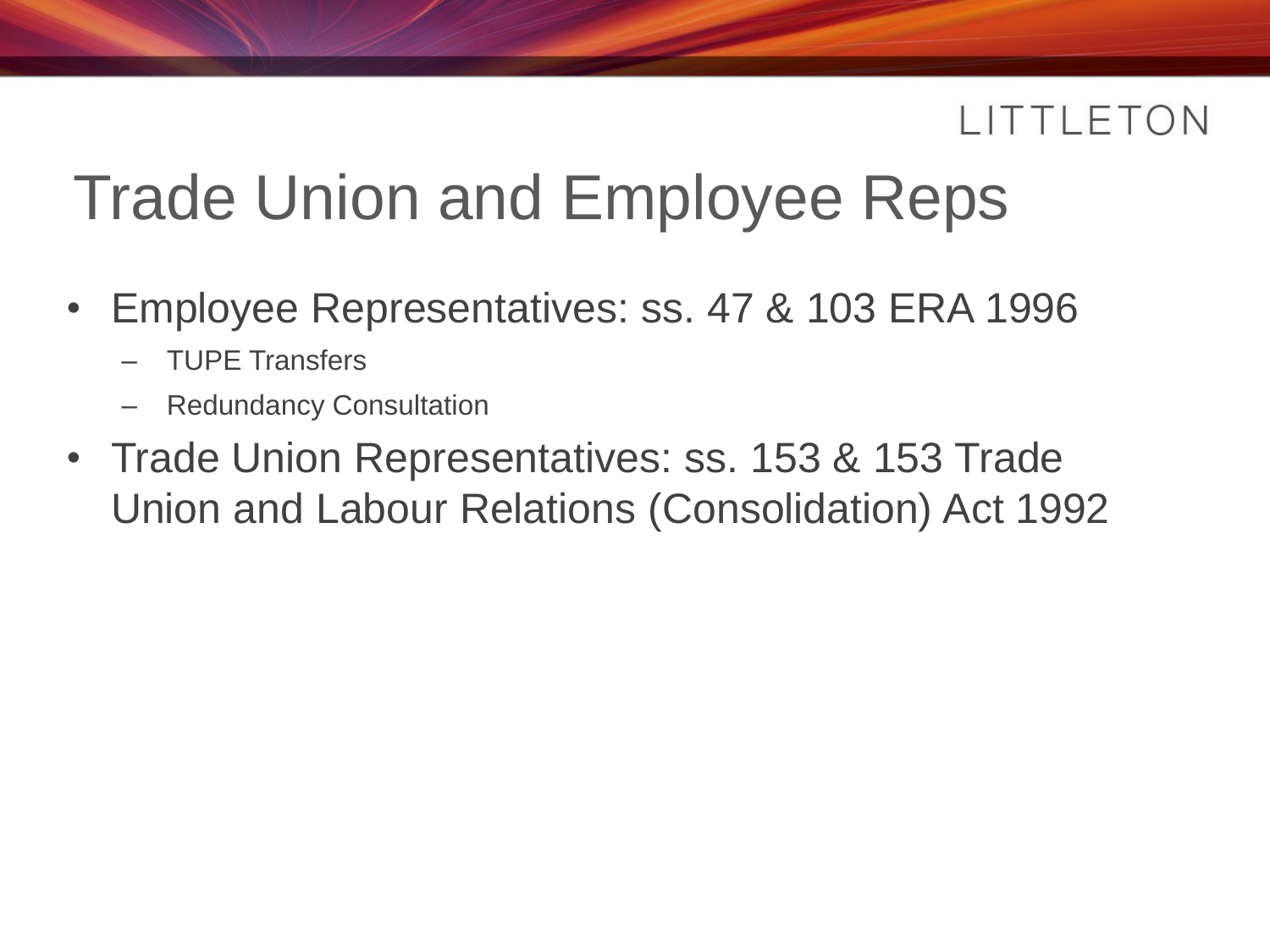### Trade Union and Employee Reps

- Employee Representatives: ss. 47 & 103 ERA 1996
	- TUPE Transfers
	- Redundancy Consultation
- Trade Union Representatives: ss. 153 & 153 Trade Union and Labour Relations (Consolidation) Act 1992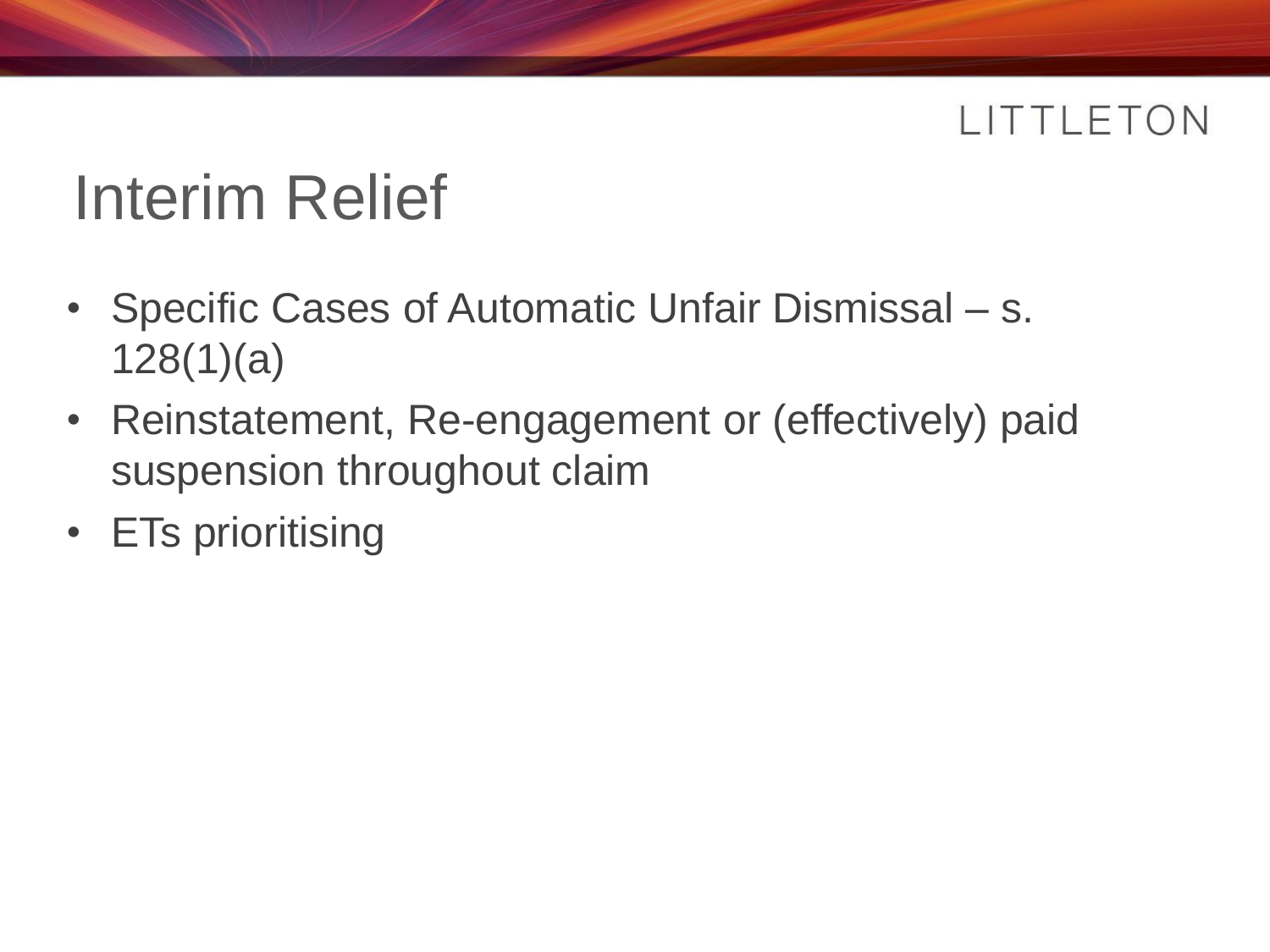# Interim Relief

- Specific Cases of Automatic Unfair Dismissal s. 128(1)(a)
- Reinstatement, Re-engagement or (effectively) paid suspension throughout claim
- ETs prioritising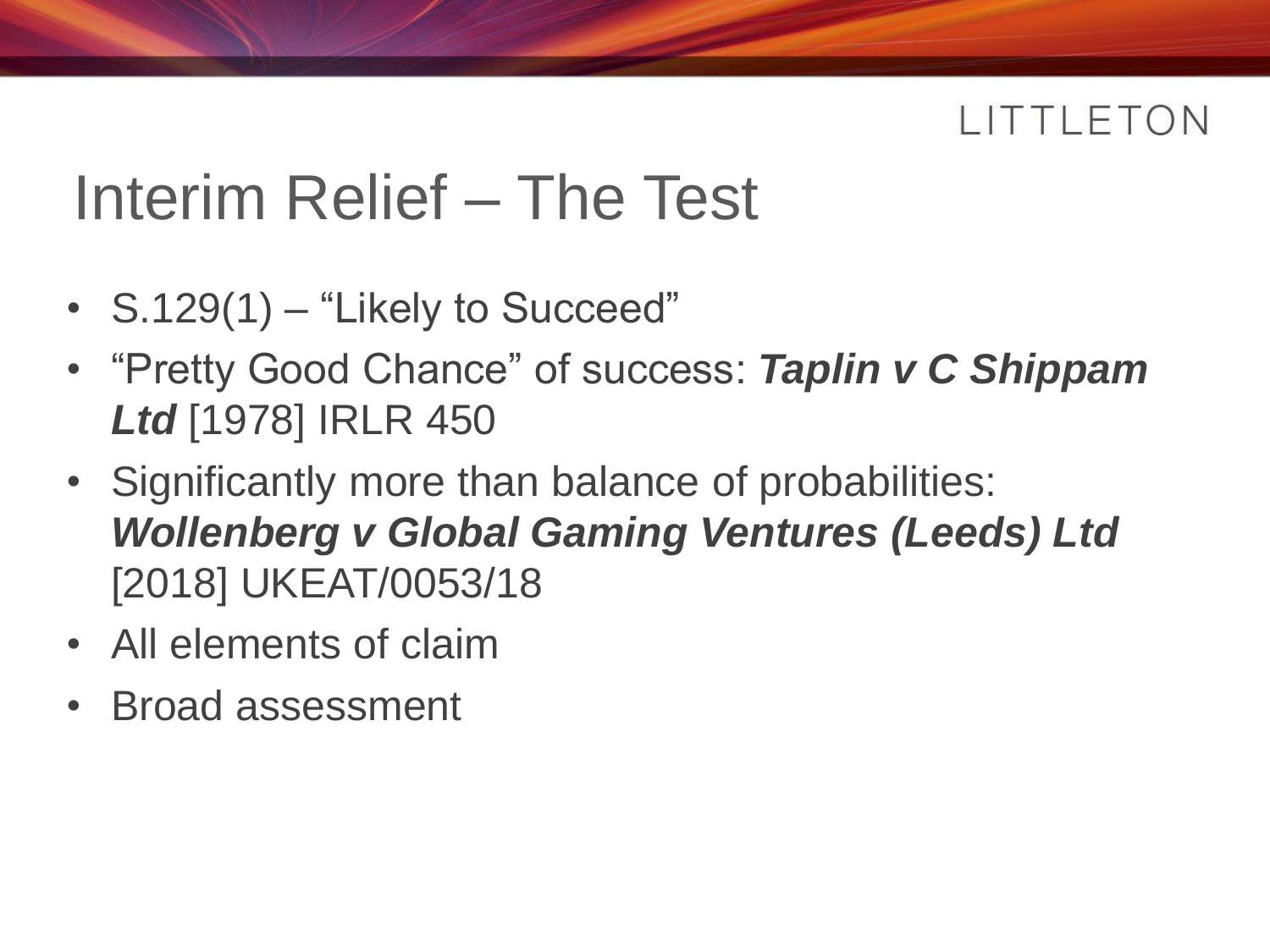### Interim Relief – The Test

- S.129(1) "Likely to Succeed"
- "Pretty Good Chance" of success: *Taplin v C Shippam Ltd* [1978] IRLR 450
- Significantly more than balance of probabilities: *Wollenberg v Global Gaming Ventures (Leeds) Ltd*  [2018] UKEAT/0053/18
- All elements of claim
- Broad assessment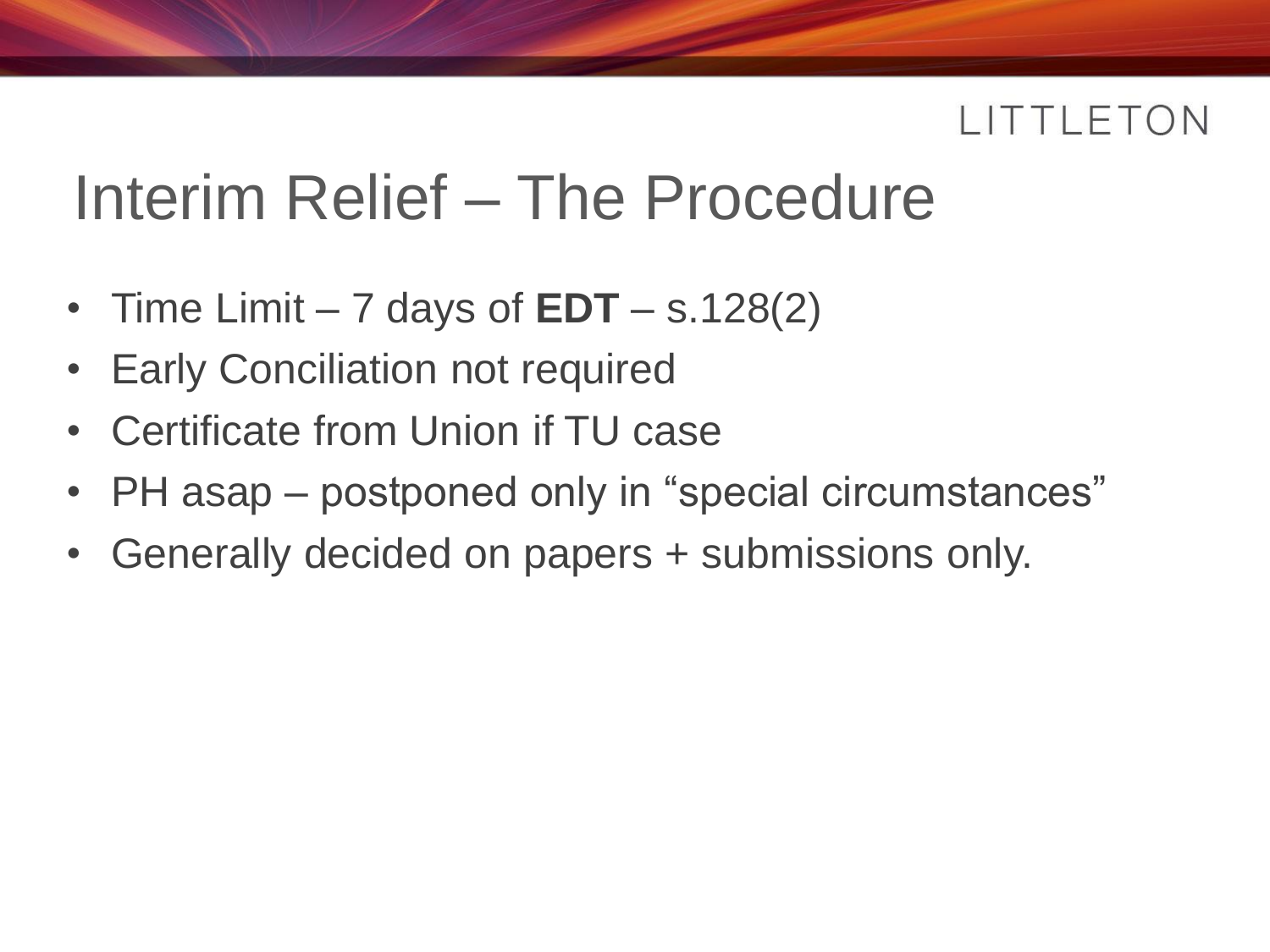### Interim Relief – The Procedure

- Time Limit  $-7$  days of  $EDT s.128(2)$
- **Early Conciliation not required**
- Certificate from Union if TU case
- PH asap postponed only in "special circumstances"
- Generally decided on papers + submissions only.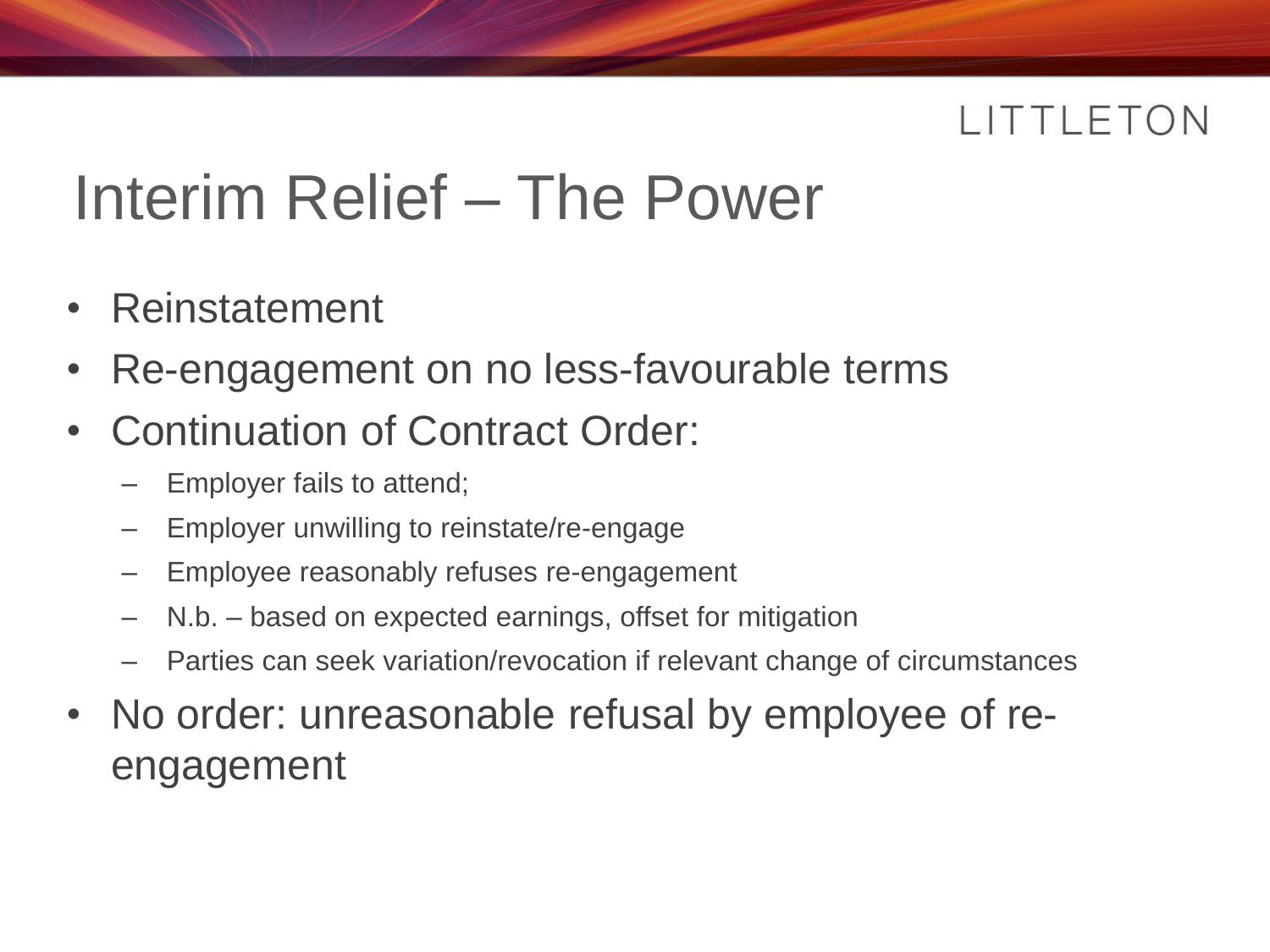### Interim Relief – The Power

- **Reinstatement**
- Re-engagement on no less-favourable terms
- Continuation of Contract Order:
	- Employer fails to attend;
	- Employer unwilling to reinstate/re-engage
	- Employee reasonably refuses re-engagement
	- N.b. based on expected earnings, offset for mitigation
	- Parties can seek variation/revocation if relevant change of circumstances
- No order: unreasonable refusal by employee of reengagement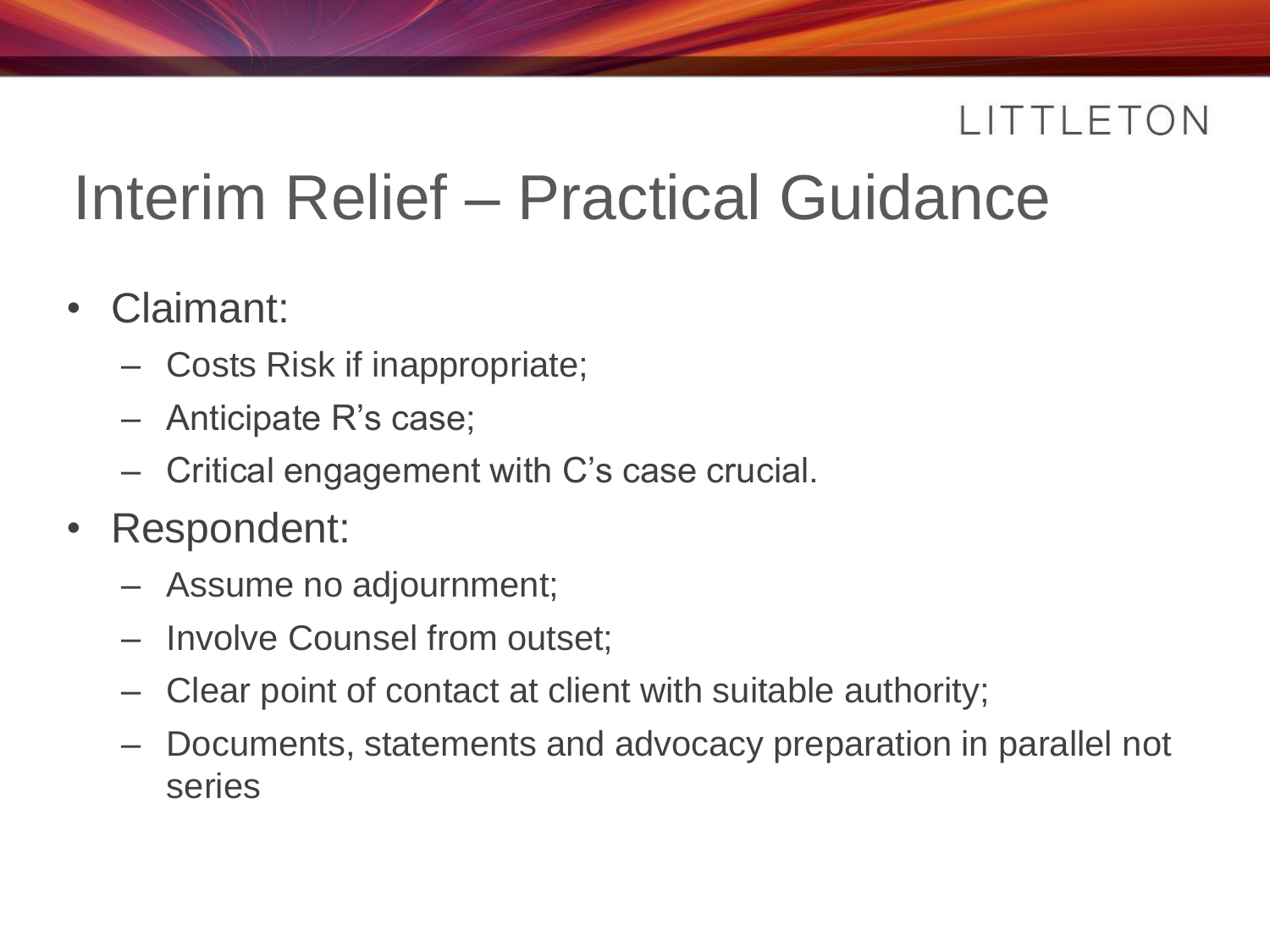# Interim Relief – Practical Guidance

- Claimant:
	- Costs Risk if inappropriate;
	- Anticipate R's case;
	- Critical engagement with C's case crucial.
- Respondent:
	- Assume no adjournment;
	- Involve Counsel from outset;
	- Clear point of contact at client with suitable authority;
	- Documents, statements and advocacy preparation in parallel not series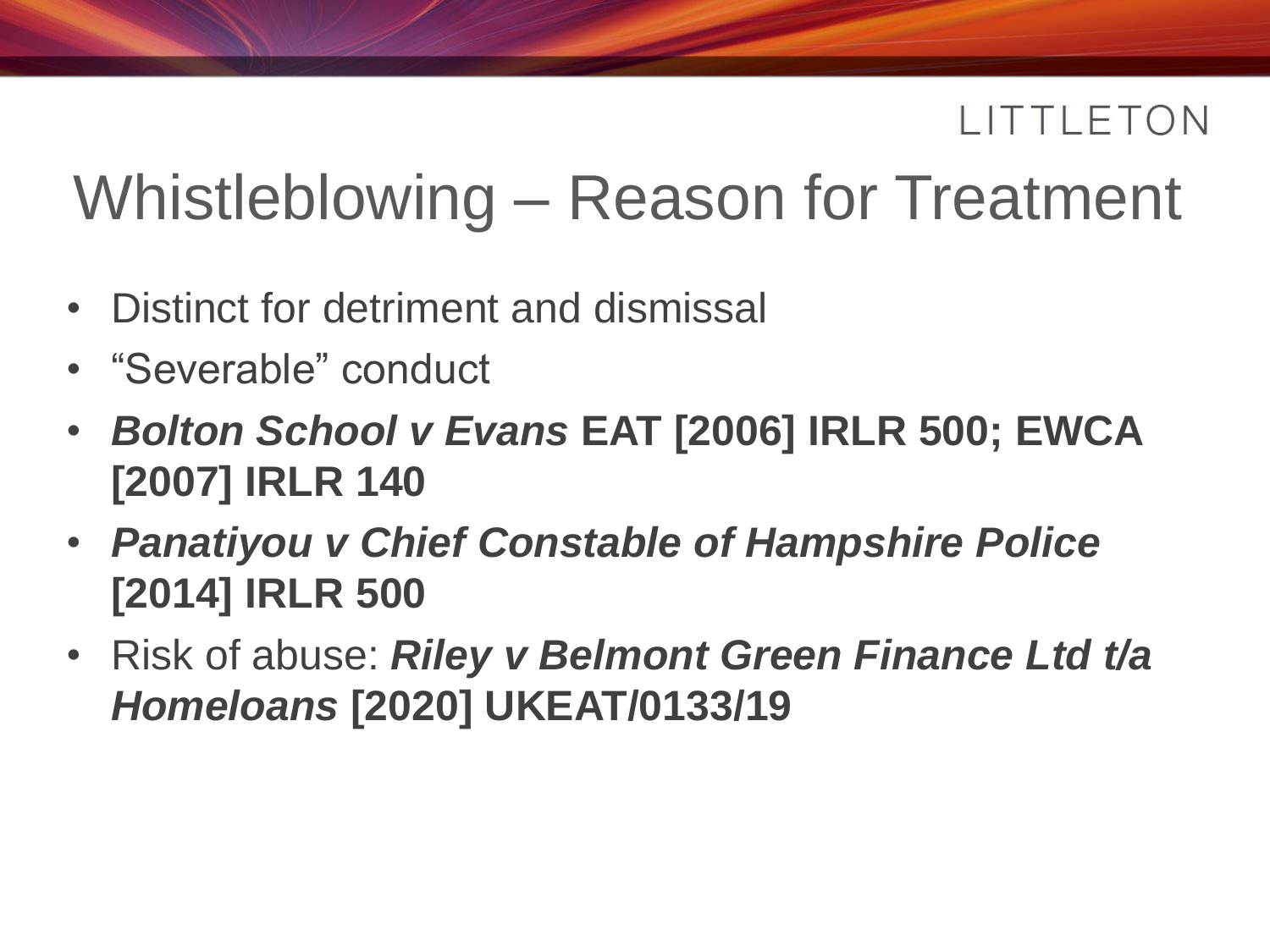### Whistleblowing – Reason for Treatment

- Distinct for detriment and dismissal
- "Severable" conduct
- *Bolton School v Evans* **EAT [2006] IRLR 500; EWCA [2007] IRLR 140**
- *Panatiyou v Chief Constable of Hampshire Police* **[2014] IRLR 500**
- Risk of abuse: *Riley v Belmont Green Finance Ltd t/a Homeloans* **[2020] UKEAT/0133/19**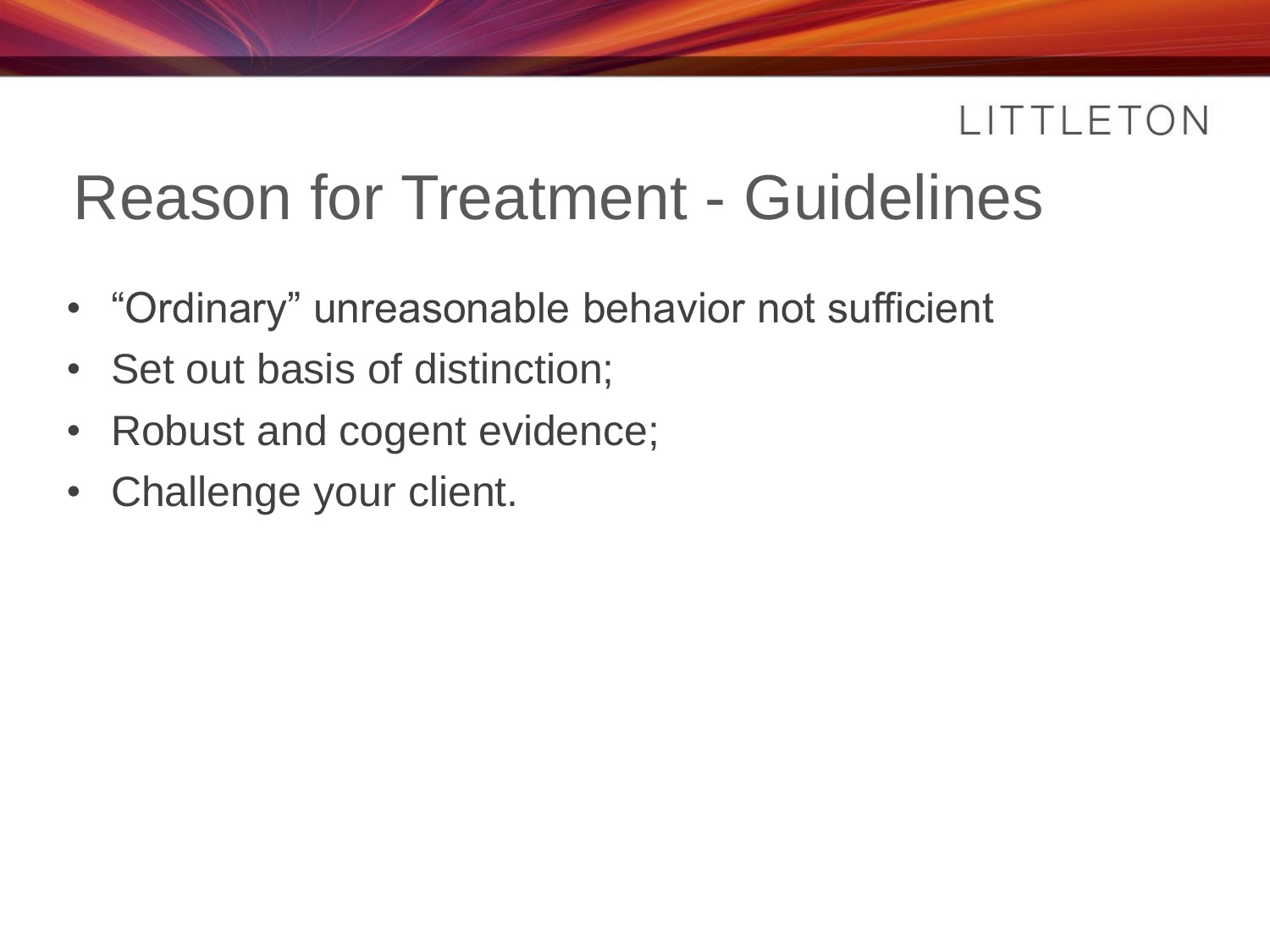### Reason for Treatment - Guidelines

- "Ordinary" unreasonable behavior not sufficient
- Set out basis of distinction;
- Robust and cogent evidence;
- Challenge your client.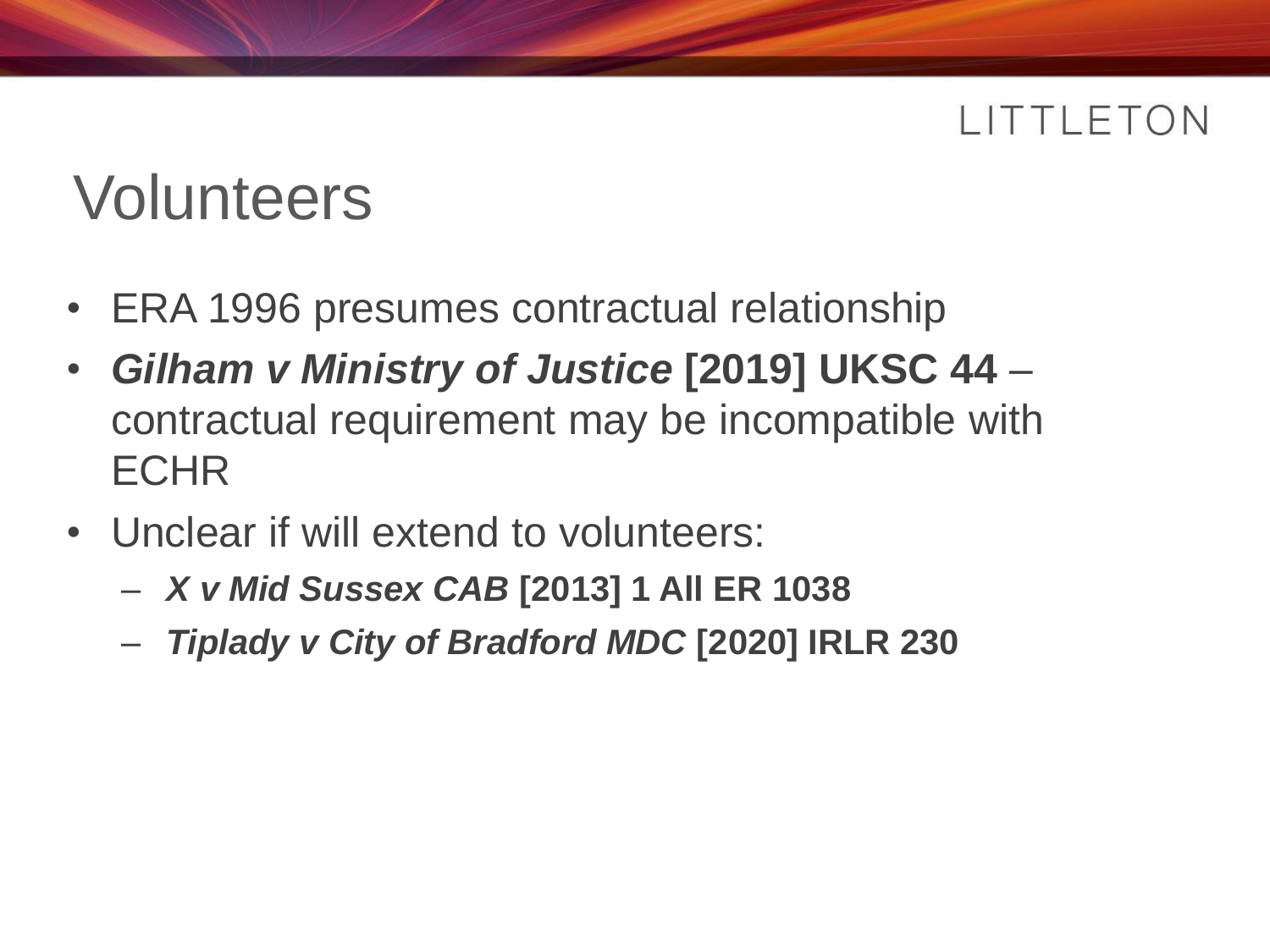### Volunteers

- ERA 1996 presumes contractual relationship
- *Gilham v Ministry of Justice* **[2019] UKSC 44** contractual requirement may be incompatible with **ECHR**
- Unclear if will extend to volunteers:
	- *X v Mid Sussex CAB* **[2013] 1 All ER 1038**
	- *Tiplady v City of Bradford MDC* **[2020] IRLR 230**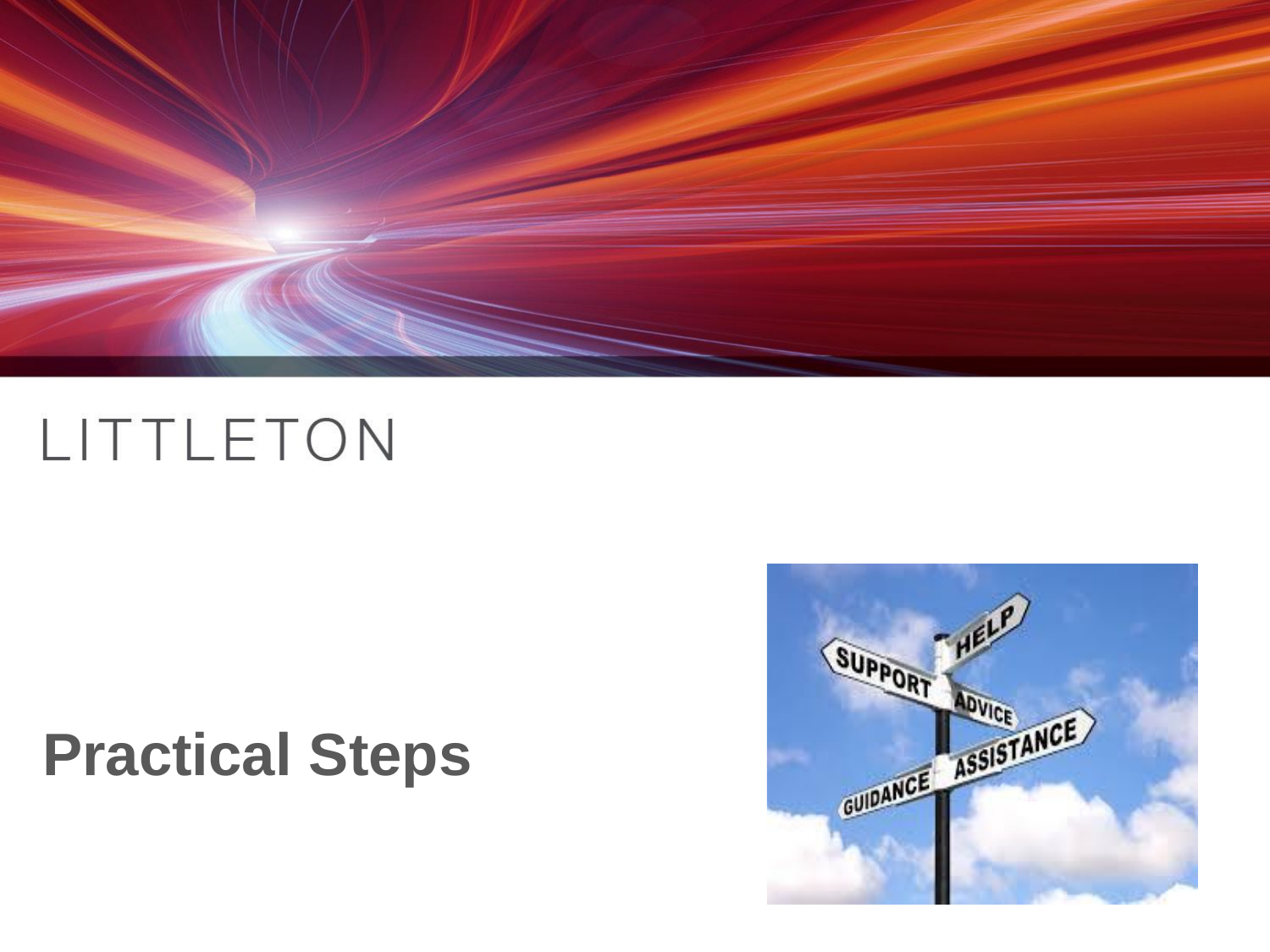

### **Practical Steps**

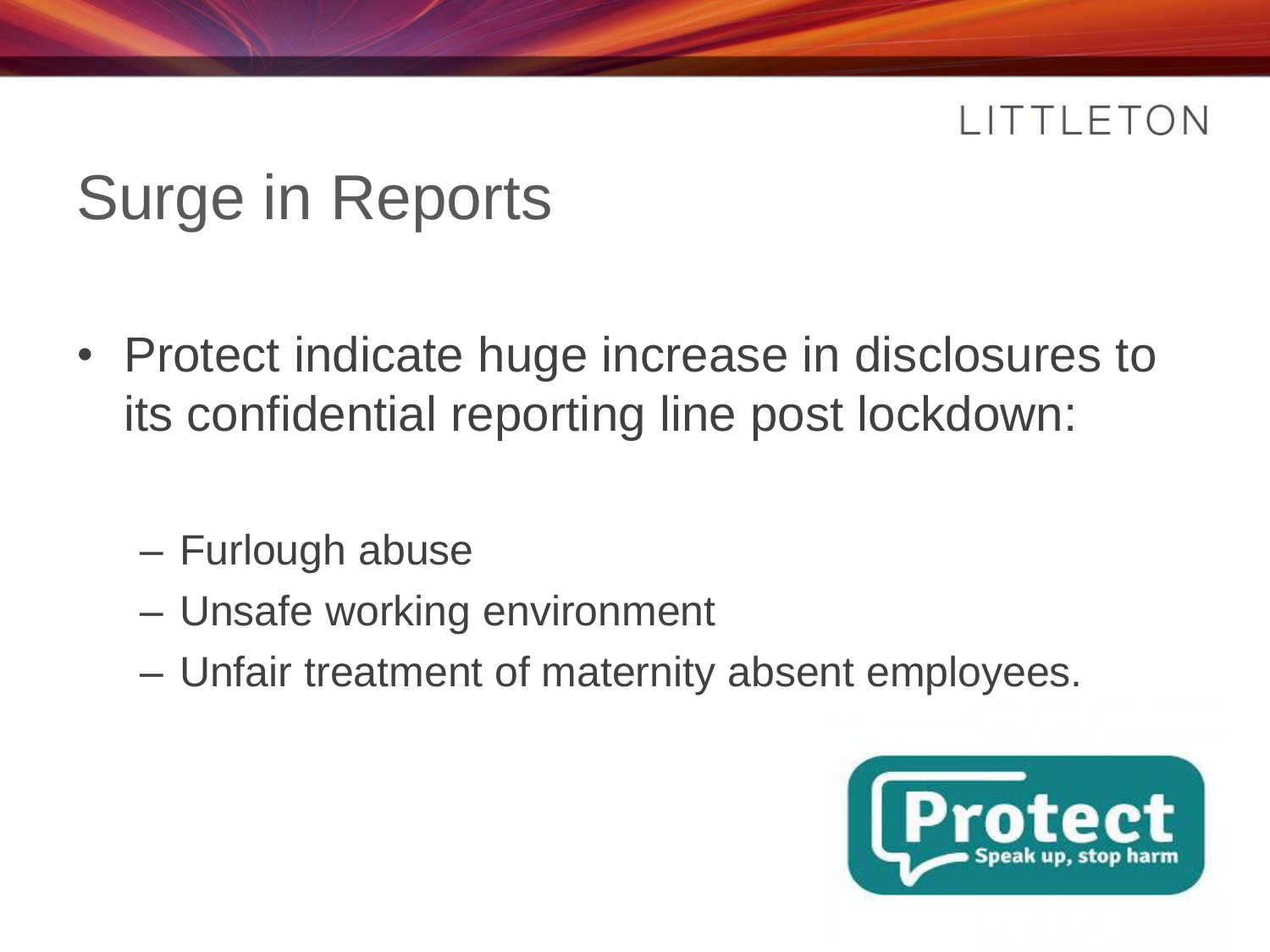# Surge in Reports

- Protect indicate huge increase in disclosures to its confidential reporting line post lockdown:
	- Furlough abuse
	- Unsafe working environment
	- Unfair treatment of maternity absent employees.

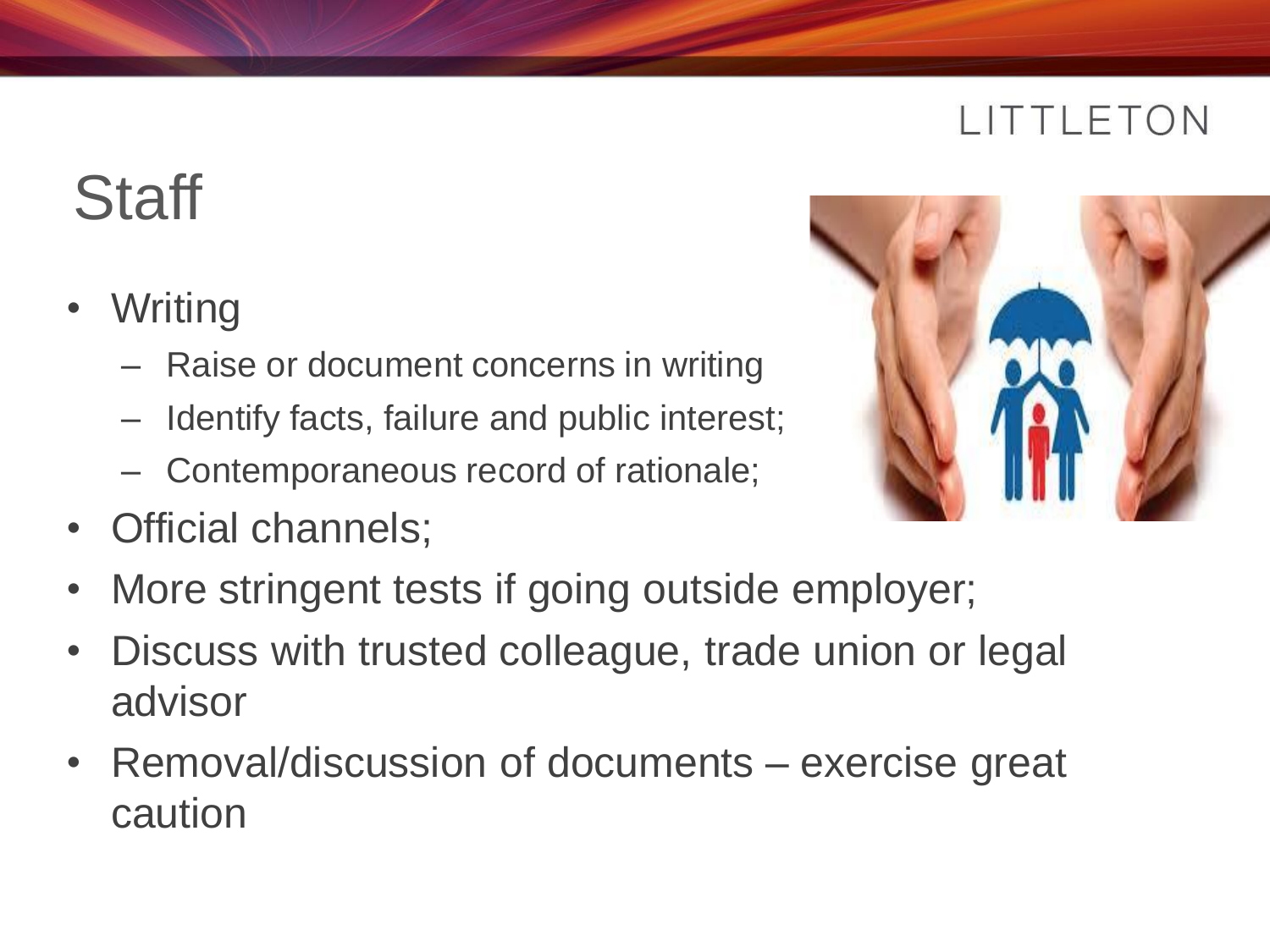# **Staff**

- **Writing** 
	- Raise or document concerns in writing
	- Identify facts, failure and public interest;
	- Contemporaneous record of rationale;
- Official channels;



- More stringent tests if going outside employer;
- Discuss with trusted colleague, trade union or legal advisor
- Removal/discussion of documents exercise great caution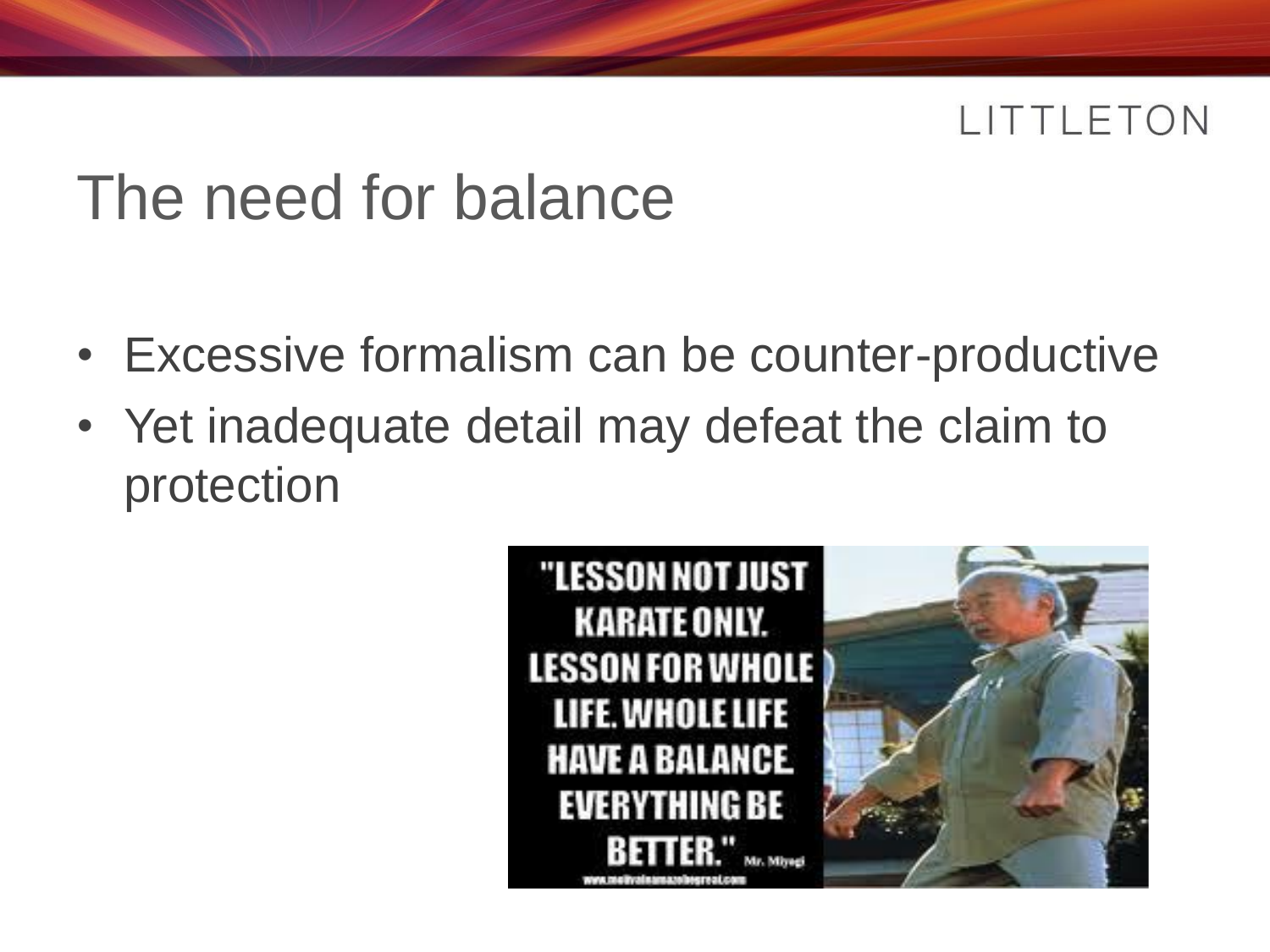### The need for balance

- Excessive formalism can be counter-productive
- Yet inadequate detail may defeat the claim to protection



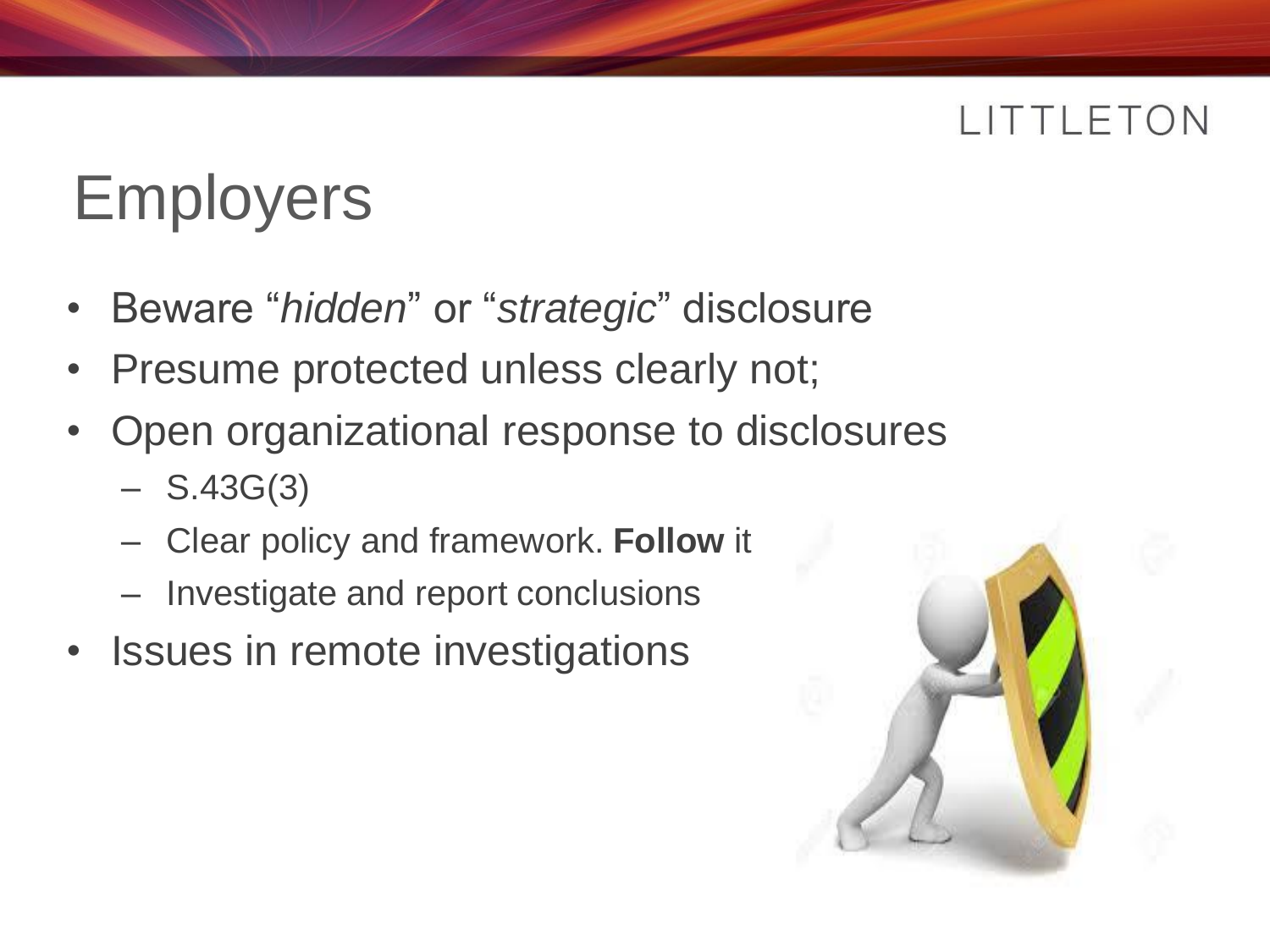# Employers

- Beware "*hidden*" or "*strategic*" disclosure
- Presume protected unless clearly not;
- Open organizational response to disclosures
	- $-$  S.43G(3)
	- Clear policy and framework. **Follow** it
	- Investigate and report conclusions
- Issues in remote investigations

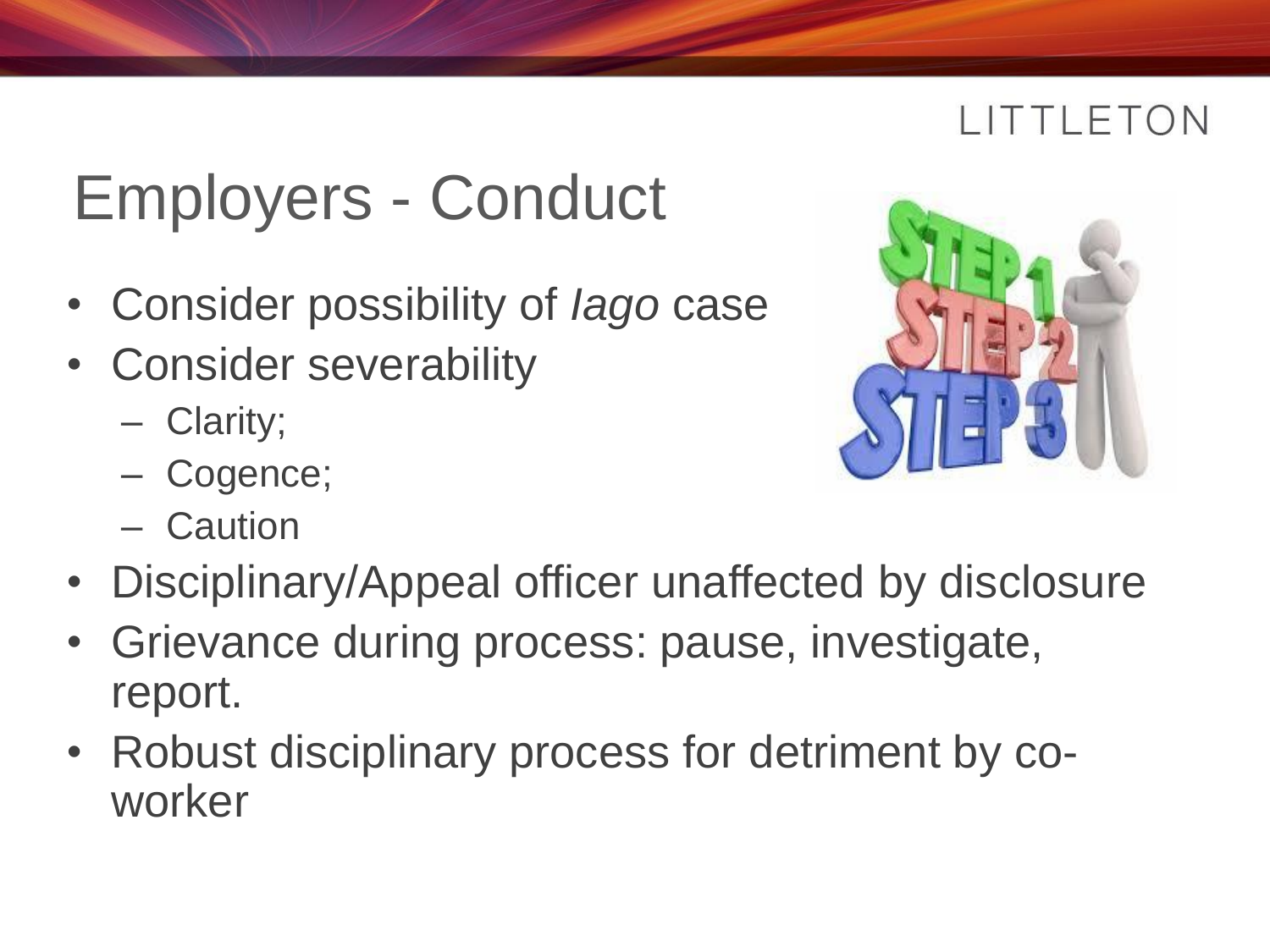# Employers - Conduct

- Consider possibility of *Iago* case
- Consider severability
	- Clarity;
	- Cogence;
	- Caution
- Disciplinary/Appeal officer unaffected by disclosure
- Grievance during process: pause, investigate, report.
- Robust disciplinary process for detriment by coworker

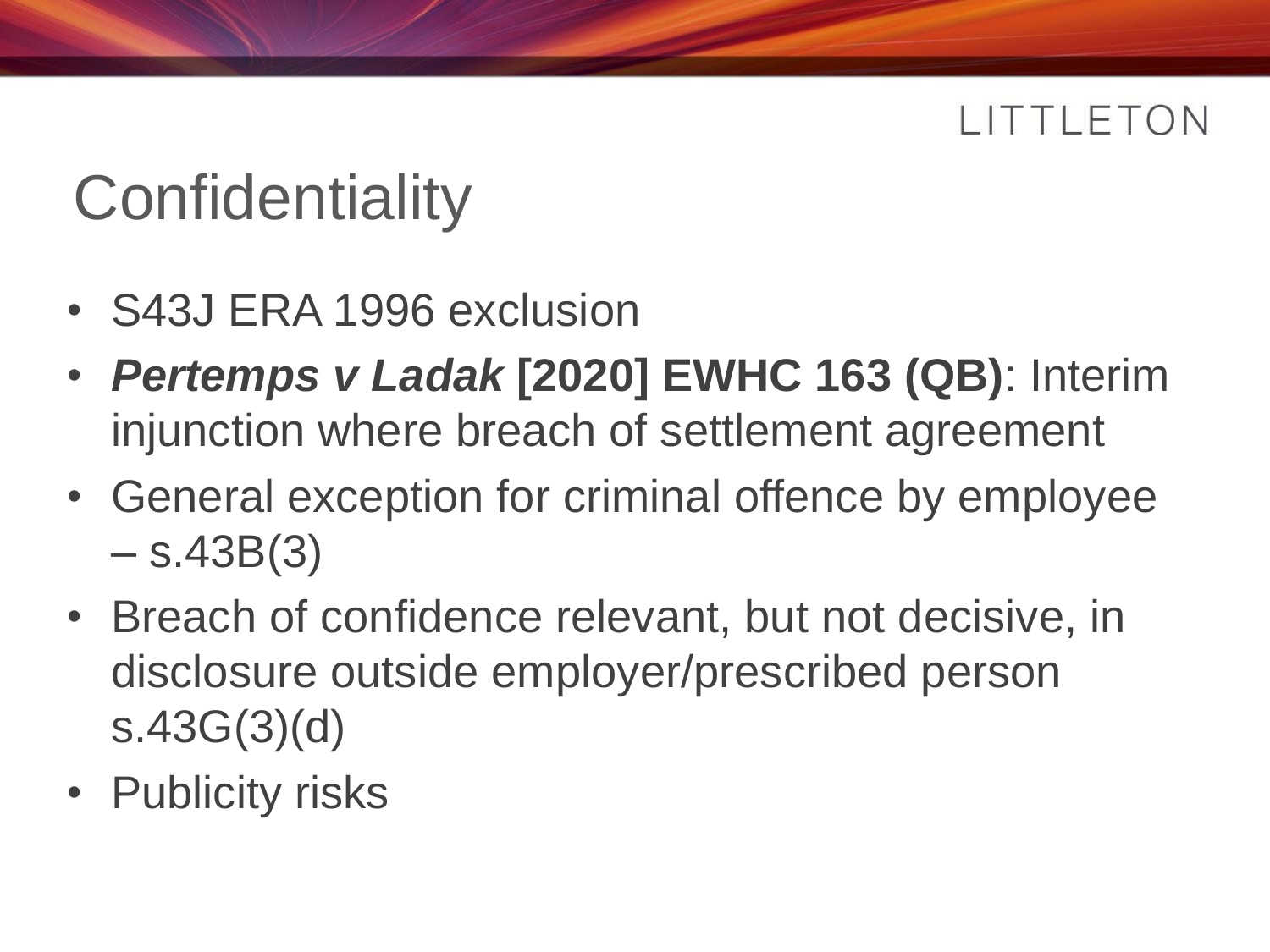# **Confidentiality**

- S43J ERA 1996 exclusion
- *Pertemps v Ladak* **[2020] EWHC 163 (QB)**: Interim injunction where breach of settlement agreement
- General exception for criminal offence by employee  $-$  s.43B(3)
- Breach of confidence relevant, but not decisive, in disclosure outside employer/prescribed person s.43G(3)(d)
- Publicity risks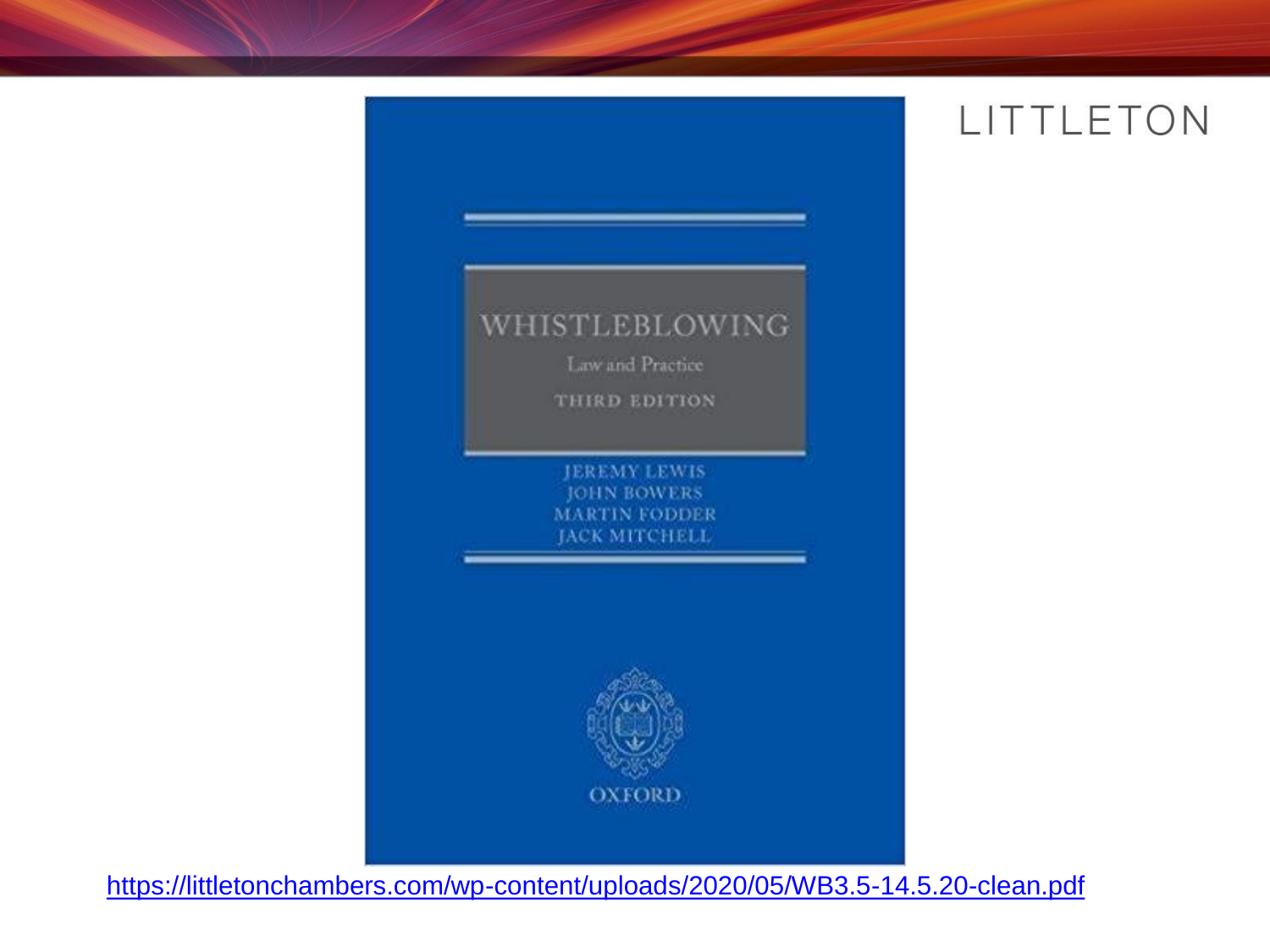# WHISTLEBLOWING Law and Practice THIRD EDITION **JEREMY LEWIS JOHN BOWERS MARTIN FODDER JACK MITCHELL OXFORD**

<https://littletonchambers.com/wp-content/uploads/2020/05/WB3.5-14.5.20-clean.pdf>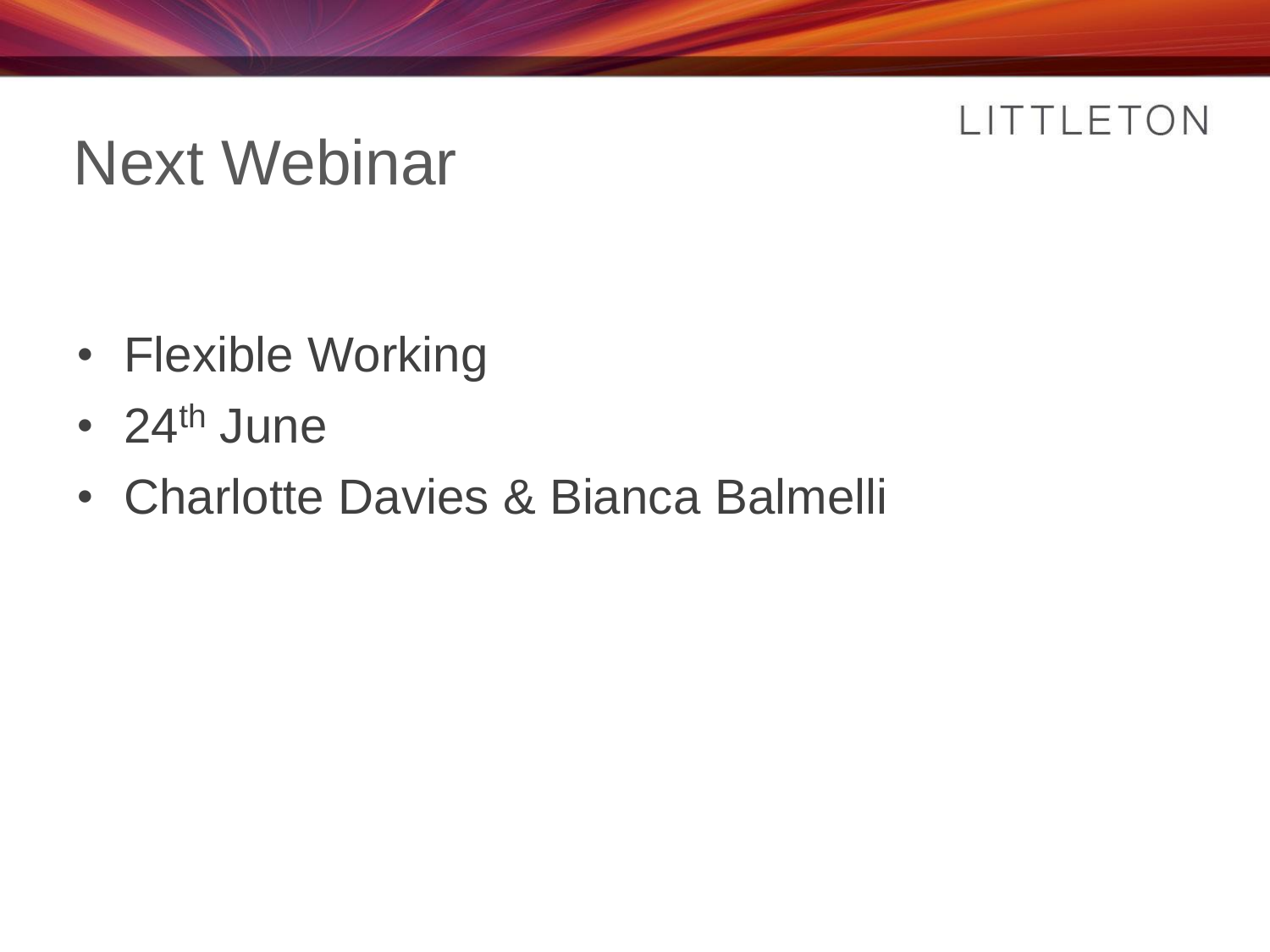# Next Webinar

- Flexible Working
- $24<sup>th</sup>$  June
- Charlotte Davies & Bianca Balmelli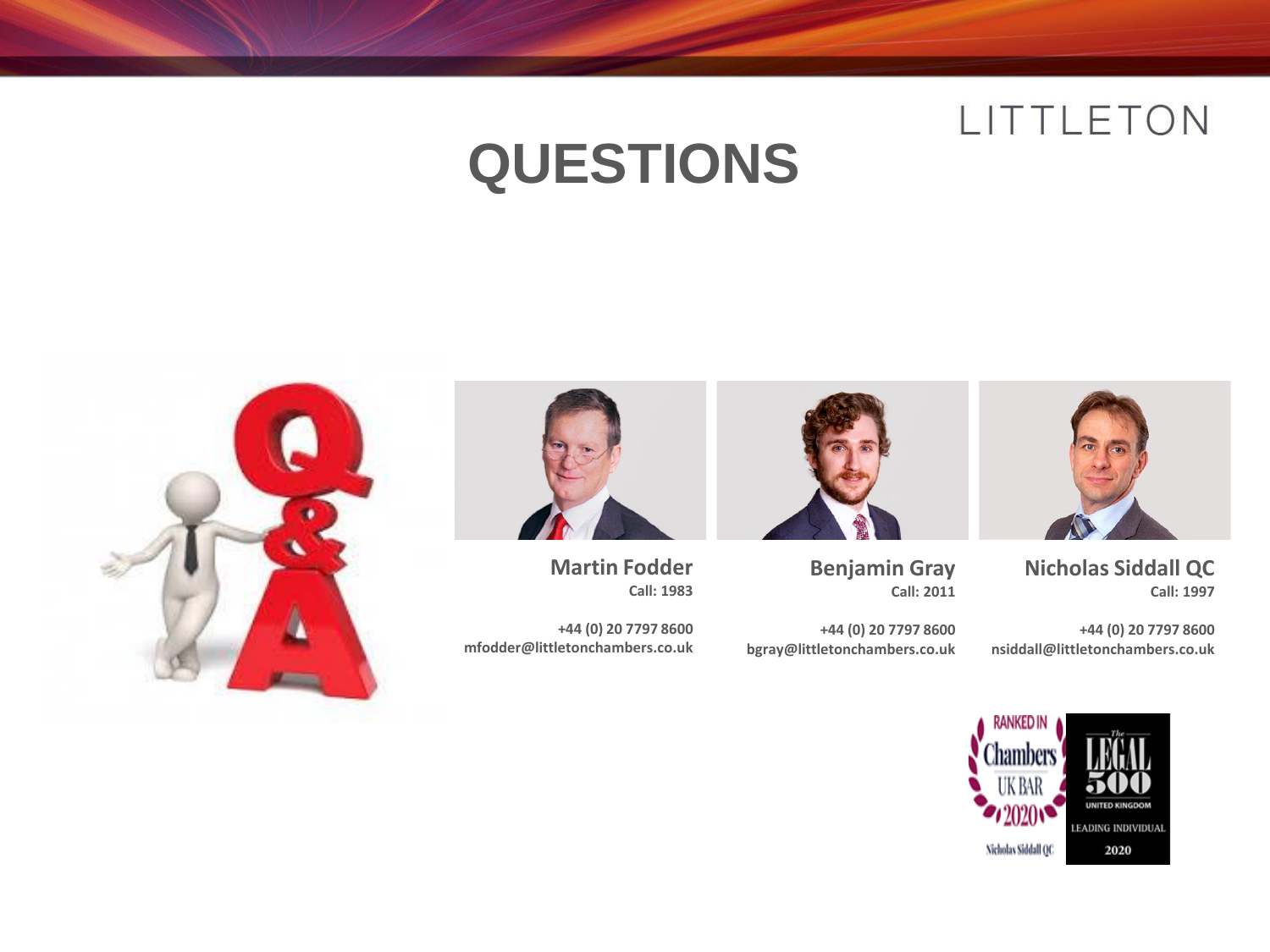### **QUESTIONS**



**Nicholas Siddall QC Call: 1997**

**+44 (0) 20 7797 8600 nsiddall@littletonchambers.co.uk**



**Benjamin Gray Call: 2011**

**+44 (0) 20 7797 8600 bgray@littletonchambers.co.uk**



**Martin Fodder Call: 1983**

**+44 (0) 20 7797 8600 mfodder@littletonchambers.co.uk**